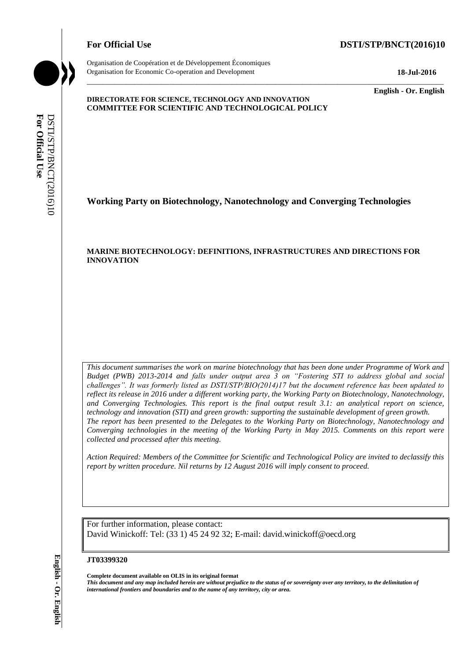# For Official Use **DSTI/STP/BNCT(2016)10**

Organisation de Coopération et de Développement Économiques Organisation for Economic Co-operation and Development **18-Jul-2016**

\_\_\_\_\_\_\_\_\_\_\_\_\_ **English - Or. English**

#### **DIRECTORATE FOR SCIENCE, TECHNOLOGY AND INNOVATION COMMITTEE FOR SCIENTIFIC AND TECHNOLOGICAL POLICY**

**Working Party on Biotechnology, Nanotechnology and Converging Technologies**

\_\_\_\_\_\_\_\_\_\_\_\_\_\_\_\_\_\_\_\_\_\_\_\_\_\_\_\_\_\_\_\_\_\_\_\_\_\_\_\_\_\_\_\_\_\_\_\_\_\_\_\_\_\_\_\_\_\_\_\_\_\_\_\_\_\_\_\_\_\_\_\_\_\_\_\_\_\_\_\_\_\_\_\_\_\_\_\_\_\_\_

#### **MARINE BIOTECHNOLOGY: DEFINITIONS, INFRASTRUCTURES AND DIRECTIONS FOR INNOVATION**

*This document summarises the work on marine biotechnology that has been done under Programme of Work and Budget (PWB) 2013-2014 and falls under output area 3 on "Fostering STI to address global and social challenges". It was formerly listed as DSTI/STP/BIO(2014)17 but the document reference has been updated to reflect its release in 2016 under a different working party, the Working Party on Biotechnology, Nanotechnology, and Converging Technologies. This report is the final output result 3.1: an analytical report on science, technology and innovation (STI) and green growth: supporting the sustainable development of green growth. The report has been presented to the Delegates to the Working Party on Biotechnology, Nanotechnology and Converging technologies in the meeting of the Working Party in May 2015. Comments on this report were collected and processed after this meeting.*  **international from the name of any territorial from the name of any territorial DSTI/STP/BOZOU-CITY OF CONTRACT INTO A CONTRACT IN the name of any territorial USE<br>
<b>For Official User Of any term of any term of any term** o

*Action Required: Members of the Committee for Scientific and Technological Policy are invited to declassify this report by written procedure. Nil returns by 12 August 2016 will imply consent to proceed.*

For further information, please contact: David Winickoff: Tel: (33 1) 45 24 92 32; E-mail: david.winickoff@oecd.org

#### **JT03399320**

**Complete document available on OLIS in its original format** *This document and any map included herein are without prejudice to the status of or sovereignty over any territory, to the delimitation of*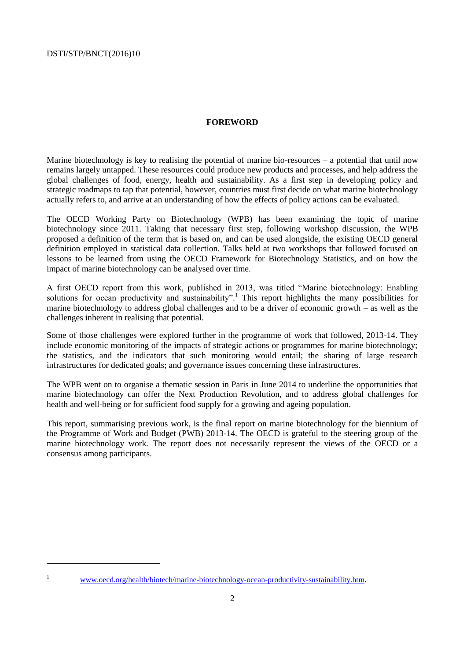# **FOREWORD**

<span id="page-1-0"></span>Marine biotechnology is key to realising the potential of marine bio-resources – a potential that until now remains largely untapped. These resources could produce new products and processes, and help address the global challenges of food, energy, health and sustainability. As a first step in developing policy and strategic roadmaps to tap that potential, however, countries must first decide on what marine biotechnology actually refers to, and arrive at an understanding of how the effects of policy actions can be evaluated.

The OECD Working Party on Biotechnology (WPB) has been examining the topic of marine biotechnology since 2011. Taking that necessary first step, following workshop discussion, the WPB proposed a definition of the term that is based on, and can be used alongside, the existing OECD general definition employed in statistical data collection. Talks held at two workshops that followed focused on lessons to be learned from using the OECD Framework for Biotechnology Statistics, and on how the impact of marine biotechnology can be analysed over time.

A first OECD report from this work, published in 2013, was titled "Marine biotechnology: Enabling solutions for ocean productivity and sustainability".<sup>1</sup> This report highlights the many possibilities for marine biotechnology to address global challenges and to be a driver of economic growth – as well as the challenges inherent in realising that potential.

Some of those challenges were explored further in the programme of work that followed, 2013-14. They include economic monitoring of the impacts of strategic actions or programmes for marine biotechnology; the statistics, and the indicators that such monitoring would entail; the sharing of large research infrastructures for dedicated goals; and governance issues concerning these infrastructures.

The WPB went on to organise a thematic session in Paris in June 2014 to underline the opportunities that marine biotechnology can offer the Next Production Revolution, and to address global challenges for health and well-being or for sufficient food supply for a growing and ageing population.

This report, summarising previous work, is the final report on marine biotechnology for the biennium of the Programme of Work and Budget (PWB) 2013-14. The OECD is grateful to the steering group of the marine biotechnology work. The report does not necessarily represent the views of the OECD or a consensus among participants.

 $\overline{a}$ 

<sup>&</sup>lt;sup>1</sup> [www.oecd.org/health/biotech/marine-biotechnology-ocean-productivity-sustainability.htm.](http://www.oecd.org/health/biotech/marine-biotechnology-ocean-productivity-sustainability.htm)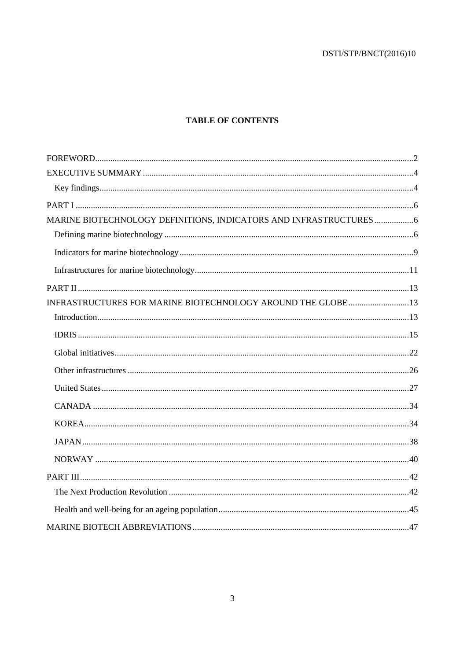# **TABLE OF CONTENTS**

| MARINE BIOTECHNOLOGY DEFINITIONS, INDICATORS AND INFRASTRUCTURES |  |
|------------------------------------------------------------------|--|
|                                                                  |  |
|                                                                  |  |
|                                                                  |  |
|                                                                  |  |
| INFRASTRUCTURES FOR MARINE BIOTECHNOLOGY AROUND THE GLOBE 13     |  |
|                                                                  |  |
|                                                                  |  |
|                                                                  |  |
|                                                                  |  |
|                                                                  |  |
|                                                                  |  |
|                                                                  |  |
|                                                                  |  |
|                                                                  |  |
|                                                                  |  |
|                                                                  |  |
|                                                                  |  |
|                                                                  |  |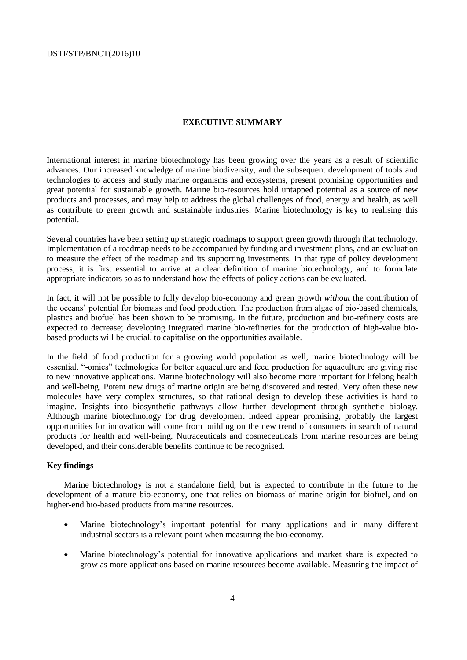#### <span id="page-3-0"></span>**EXECUTIVE SUMMARY**

International interest in marine biotechnology has been growing over the years as a result of scientific advances. Our increased knowledge of marine biodiversity, and the subsequent development of tools and technologies to access and study marine organisms and ecosystems, present promising opportunities and great potential for sustainable growth. Marine bio-resources hold untapped potential as a source of new products and processes, and may help to address the global challenges of food, energy and health, as well as contribute to green growth and sustainable industries. Marine biotechnology is key to realising this potential.

Several countries have been setting up strategic roadmaps to support green growth through that technology. Implementation of a roadmap needs to be accompanied by funding and investment plans, and an evaluation to measure the effect of the roadmap and its supporting investments. In that type of policy development process, it is first essential to arrive at a clear definition of marine biotechnology, and to formulate appropriate indicators so as to understand how the effects of policy actions can be evaluated.

In fact, it will not be possible to fully develop bio-economy and green growth *without* the contribution of the oceans' potential for biomass and food production. The production from algae of bio-based chemicals, plastics and biofuel has been shown to be promising. In the future, production and bio-refinery costs are expected to decrease; developing integrated marine bio-refineries for the production of high-value biobased products will be crucial, to capitalise on the opportunities available.

In the field of food production for a growing world population as well, marine biotechnology will be essential. "-omics" technologies for better aquaculture and feed production for aquaculture are giving rise to new innovative applications. Marine biotechnology will also become more important for lifelong health and well-being. Potent new drugs of marine origin are being discovered and tested. Very often these new molecules have very complex structures, so that rational design to develop these activities is hard to imagine. Insights into biosynthetic pathways allow further development through synthetic biology. Although marine biotechnology for drug development indeed appear promising, probably the largest opportunities for innovation will come from building on the new trend of consumers in search of natural products for health and well-being. Nutraceuticals and cosmeceuticals from marine resources are being developed, and their considerable benefits continue to be recognised.

# <span id="page-3-1"></span>**Key findings**

Marine biotechnology is not a standalone field, but is expected to contribute in the future to the development of a mature bio-economy, one that relies on biomass of marine origin for biofuel, and on higher-end bio-based products from marine resources.

- Marine biotechnology's important potential for many applications and in many different industrial sectors is a relevant point when measuring the bio-economy.
- Marine biotechnology's potential for innovative applications and market share is expected to grow as more applications based on marine resources become available. Measuring the impact of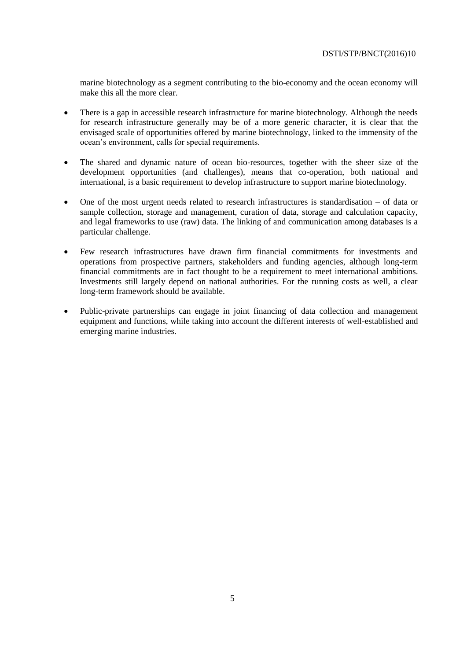marine biotechnology as a segment contributing to the bio-economy and the ocean economy will make this all the more clear.

- There is a gap in accessible research infrastructure for marine biotechnology. Although the needs for research infrastructure generally may be of a more generic character, it is clear that the envisaged scale of opportunities offered by marine biotechnology, linked to the immensity of the ocean's environment, calls for special requirements.
- The shared and dynamic nature of ocean bio-resources, together with the sheer size of the development opportunities (and challenges), means that co-operation, both national and international, is a basic requirement to develop infrastructure to support marine biotechnology.
- One of the most urgent needs related to research infrastructures is standardisation of data or sample collection, storage and management, curation of data, storage and calculation capacity, and legal frameworks to use (raw) data. The linking of and communication among databases is a particular challenge.
- Few research infrastructures have drawn firm financial commitments for investments and operations from prospective partners, stakeholders and funding agencies, although long-term financial commitments are in fact thought to be a requirement to meet international ambitions. Investments still largely depend on national authorities. For the running costs as well, a clear long-term framework should be available.
- Public-private partnerships can engage in joint financing of data collection and management equipment and functions, while taking into account the different interests of well-established and emerging marine industries.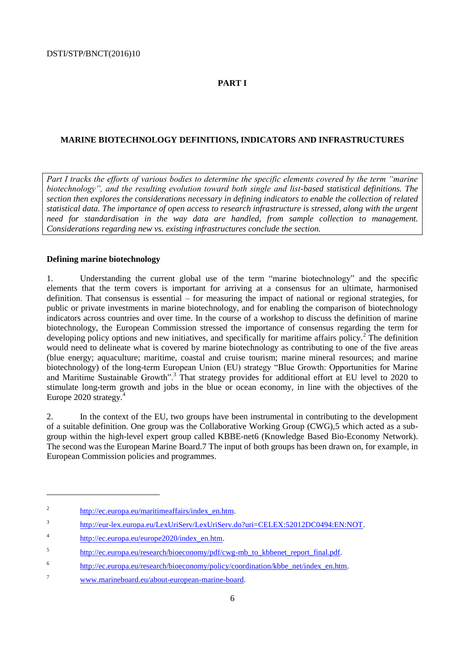# <span id="page-5-0"></span>**PART I**

#### <span id="page-5-1"></span>**MARINE BIOTECHNOLOGY DEFINITIONS, INDICATORS AND INFRASTRUCTURES**

*Part I tracks the efforts of various bodies to determine the specific elements covered by the term "marine biotechnology", and the resulting evolution toward both single and list-based statistical definitions. The section then explores the considerations necessary in defining indicators to enable the collection of related statistical data. The importance of open access to research infrastructure is stressed, along with the urgent need for standardisation in the way data are handled, from sample collection to management. Considerations regarding new vs. existing infrastructures conclude the section.*

#### <span id="page-5-2"></span>**Defining marine biotechnology**

1. Understanding the current global use of the term "marine biotechnology" and the specific elements that the term covers is important for arriving at a consensus for an ultimate, harmonised definition. That consensus is essential – for measuring the impact of national or regional strategies, for public or private investments in marine biotechnology, and for enabling the comparison of biotechnology indicators across countries and over time. In the course of a workshop to discuss the definition of marine biotechnology, the European Commission stressed the importance of consensus regarding the term for developing policy options and new initiatives, and specifically for maritime affairs policy.<sup>2</sup> The definition would need to delineate what is covered by marine biotechnology as contributing to one of the five areas (blue energy; aquaculture; maritime, coastal and cruise tourism; marine mineral resources; and marine biotechnology) of the long-term European Union (EU) strategy "Blue Growth: Opportunities for Marine and Maritime Sustainable Growth".<sup>3</sup> That strategy provides for additional effort at EU level to 2020 to stimulate long-term growth and jobs in the blue or ocean economy, in line with the objectives of the Europe 2020 strategy.<sup>4</sup>

2. In the context of the EU, two groups have been instrumental in contributing to the development of a suitable definition. One group was the Collaborative Working Group (CWG),5 which acted as a subgroup within the high-level expert group called KBBE-net6 (Knowledge Based Bio-Economy Network). The second was the European Marine Board.7 The input of both groups has been drawn on, for example, in European Commission policies and programmes.

<sup>2</sup> [http://ec.europa.eu/maritimeaffairs/index\\_en.htm.](http://ec.europa.eu/maritimeaffairs/index_en.htm)

 $\overline{\mathbf{3}}$ [http://eur-lex.europa.eu/LexUriServ/LexUriServ.do?uri=CELEX:52012DC0494:EN:NOT.](http://eur-lex.europa.eu/LexUriServ/LexUriServ.do?uri=CELEX:52012DC0494:EN:NOT)

<sup>4</sup> [http://ec.europa.eu/europe2020/index\\_en.htm.](http://ec.europa.eu/europe2020/index_en.htm)

<sup>5</sup> [http://ec.europa.eu/research/bioeconomy/pdf/cwg-mb\\_to\\_kbbenet\\_report\\_final.pdf.](http://ec.europa.eu/research/bioeconomy/pdf/cwg-mb_to_kbbenet_report_final.pdf)

<sup>6</sup> [http://ec.europa.eu/research/bioeconomy/policy/coordination/kbbe\\_net/index\\_en.htm.](http://ec.europa.eu/research/bioeconomy/policy/coordination/kbbe_net/index_en.htm)

<sup>7</sup> [www.marineboard.eu/about-european-marine-board.](http://www.marineboard.eu/about-european-marine-board)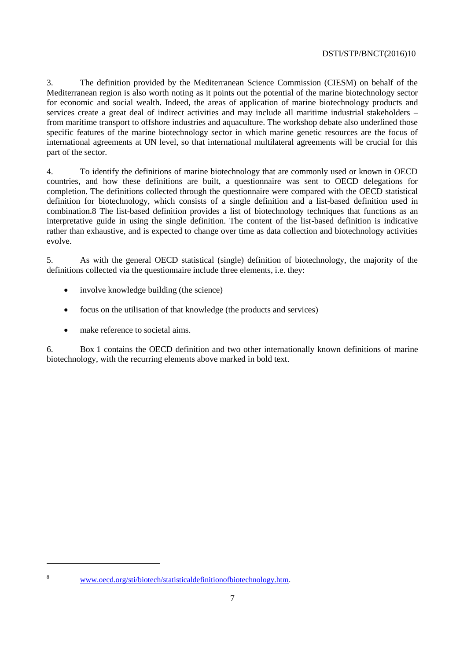3. The definition provided by the Mediterranean Science Commission (CIESM) on behalf of the Mediterranean region is also worth noting as it points out the potential of the marine biotechnology sector for economic and social wealth. Indeed, the areas of application of marine biotechnology products and services create a great deal of indirect activities and may include all maritime industrial stakeholders – from maritime transport to offshore industries and aquaculture. The workshop debate also underlined those specific features of the marine biotechnology sector in which marine genetic resources are the focus of international agreements at UN level, so that international multilateral agreements will be crucial for this part of the sector.

4. To identify the definitions of marine biotechnology that are commonly used or known in OECD countries, and how these definitions are built, a questionnaire was sent to OECD delegations for completion. The definitions collected through the questionnaire were compared with the OECD statistical definition for biotechnology, which consists of a single definition and a list-based definition used in combination.8 The list-based definition provides a list of biotechnology techniques that functions as an interpretative guide in using the single definition. The content of the list-based definition is indicative rather than exhaustive, and is expected to change over time as data collection and biotechnology activities evolve.

5. As with the general OECD statistical (single) definition of biotechnology, the majority of the definitions collected via the questionnaire include three elements, i.e. they:

- involve knowledge building (the science)
- focus on the utilisation of that knowledge (the products and services)
- make reference to societal aims.

 $\overline{a}$ 

6. Box 1 contains the OECD definition and two other internationally known definitions of marine biotechnology, with the recurring elements above marked in bold text.

<sup>8</sup> [www.oecd.org/sti/biotech/statisticaldefinitionofbiotechnology.htm.](http://www.oecd.org/sti/biotech/statisticaldefinitionofbiotechnology.htm)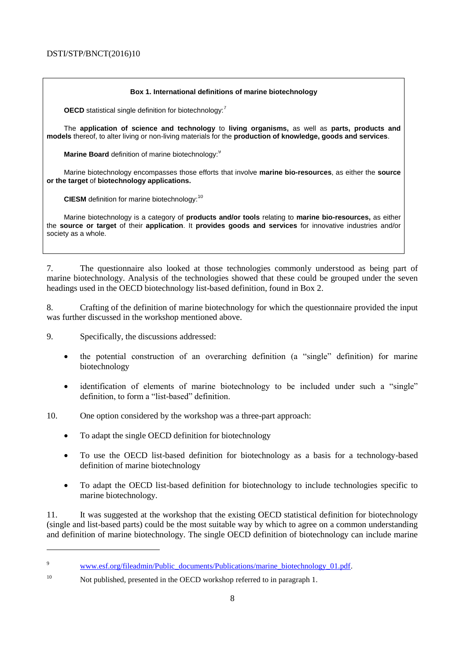#### **Box 1. International definitions of marine biotechnology**

**OECD** statistical single definition for biotechnology:<sup>7</sup>

The **application of science and technology** to **living organisms,** as well as **parts, products and models** thereof, to alter living or non-living materials for the **production of knowledge, goods and services**.

**Marine Board** definition of marine biotechnology:<sup>9</sup>

Marine biotechnology encompasses those efforts that involve **marine bio-resources**, as either the **source or the target** of **biotechnology applications.**

**CIESM** definition for marine biotechnology:<sup>10</sup>

Marine biotechnology is a category of **products and/or tools** relating to **marine bio-resources,** as either the **source or target** of their **application**. It **provides goods and services** for innovative industries and/or society as a whole.

7. The questionnaire also looked at those technologies commonly understood as being part of marine biotechnology. Analysis of the technologies showed that these could be grouped under the seven headings used in the OECD biotechnology list-based definition, found in Box 2.

8. Crafting of the definition of marine biotechnology for which the questionnaire provided the input was further discussed in the workshop mentioned above.

9. Specifically, the discussions addressed:

- the potential construction of an overarching definition (a "single" definition) for marine biotechnology
- identification of elements of marine biotechnology to be included under such a "single" definition, to form a "list-based" definition.

10. One option considered by the workshop was a three-part approach:

- To adapt the single OECD definition for biotechnology
- To use the OECD list-based definition for biotechnology as a basis for a technology-based definition of marine biotechnology
- To adapt the OECD list-based definition for biotechnology to include technologies specific to marine biotechnology.

11. It was suggested at the workshop that the existing OECD statistical definition for biotechnology (single and list-based parts) could be the most suitable way by which to agree on a common understanding and definition of marine biotechnology. The single OECD definition of biotechnology can include marine

<sup>&</sup>lt;sup>9</sup> www.esf.org/fileadmin/Public\_documents/Publications/marine\_biotechnology\_01.pdf.

<sup>&</sup>lt;sup>10</sup> Not published, presented in the OECD workshop referred to in paragraph 1.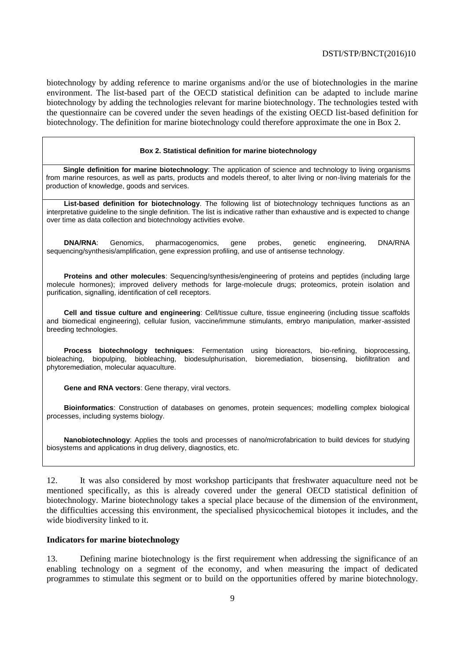biotechnology by adding reference to marine organisms and/or the use of biotechnologies in the marine environment. The list-based part of the OECD statistical definition can be adapted to include marine biotechnology by adding the technologies relevant for marine biotechnology. The technologies tested with the questionnaire can be covered under the seven headings of the existing OECD list-based definition for biotechnology. The definition for marine biotechnology could therefore approximate the one in Box 2.

#### **Box 2. Statistical definition for marine biotechnology**

**Single definition for marine biotechnology**: The application of science and technology to living organisms from marine resources, as well as parts, products and models thereof, to alter living or non-living materials for the production of knowledge, goods and services.

**List-based definition for biotechnology**. The following list of biotechnology techniques functions as an interpretative guideline to the single definition. The list is indicative rather than exhaustive and is expected to change over time as data collection and biotechnology activities evolve.

**DNA/RNA**: Genomics, pharmacogenomics, gene probes, genetic engineering, DNA/RNA sequencing/synthesis/amplification, gene expression profiling, and use of antisense technology.

**Proteins and other molecules**: Sequencing/synthesis/engineering of proteins and peptides (including large molecule hormones); improved delivery methods for large-molecule drugs; proteomics, protein isolation and purification, signalling, identification of cell receptors.

**Cell and tissue culture and engineering**: Cell/tissue culture, tissue engineering (including tissue scaffolds and biomedical engineering), cellular fusion, vaccine/immune stimulants, embryo manipulation, marker-assisted breeding technologies.

**Process biotechnology techniques**: Fermentation using bioreactors, bio-refining, bioprocessing, bioleaching, biopulping, biobleaching, biodesulphurisation, bioremediation, biosensing, biofiltration and phytoremediation, molecular aquaculture.

**Gene and RNA vectors**: Gene therapy, viral vectors.

**Bioinformatics**: Construction of databases on genomes, protein sequences; modelling complex biological processes, including systems biology.

**Nanobiotechnology**: Applies the tools and processes of nano/microfabrication to build devices for studying biosystems and applications in drug delivery, diagnostics, etc.

12. It was also considered by most workshop participants that freshwater aquaculture need not be mentioned specifically, as this is already covered under the general OECD statistical definition of biotechnology. Marine biotechnology takes a special place because of the dimension of the environment, the difficulties accessing this environment, the specialised physicochemical biotopes it includes, and the wide biodiversity linked to it.

#### <span id="page-8-0"></span>**Indicators for marine biotechnology**

13. Defining marine biotechnology is the first requirement when addressing the significance of an enabling technology on a segment of the economy, and when measuring the impact of dedicated programmes to stimulate this segment or to build on the opportunities offered by marine biotechnology.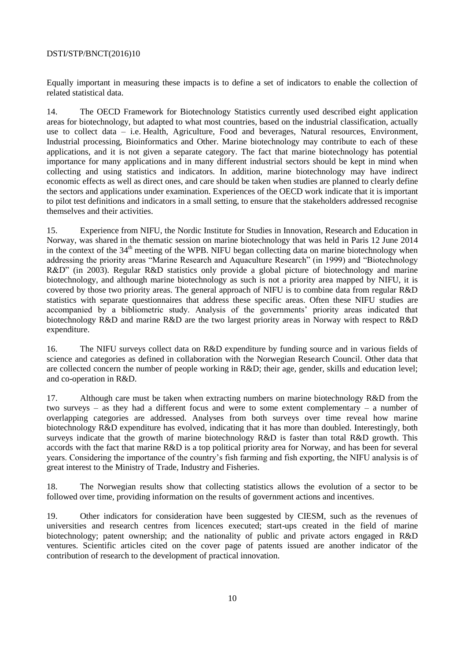Equally important in measuring these impacts is to define a set of indicators to enable the collection of related statistical data.

14. The OECD Framework for Biotechnology Statistics currently used described eight application areas for biotechnology, but adapted to what most countries, based on the industrial classification, actually use to collect data – i.e. Health, Agriculture, Food and beverages, Natural resources, Environment, Industrial processing, Bioinformatics and Other. Marine biotechnology may contribute to each of these applications, and it is not given a separate category. The fact that marine biotechnology has potential importance for many applications and in many different industrial sectors should be kept in mind when collecting and using statistics and indicators. In addition, marine biotechnology may have indirect economic effects as well as direct ones, and care should be taken when studies are planned to clearly define the sectors and applications under examination. Experiences of the OECD work indicate that it is important to pilot test definitions and indicators in a small setting, to ensure that the stakeholders addressed recognise themselves and their activities.

15. Experience from NIFU, the Nordic Institute for Studies in Innovation, Research and Education in Norway, was shared in the thematic session on marine biotechnology that was held in Paris 12 June 2014 in the context of the  $34<sup>th</sup>$  meeting of the WPB. NIFU began collecting data on marine biotechnology when addressing the priority areas "Marine Research and Aquaculture Research" (in 1999) and "Biotechnology R&D" (in 2003). Regular R&D statistics only provide a global picture of biotechnology and marine biotechnology, and although marine biotechnology as such is not a priority area mapped by NIFU, it is covered by those two priority areas. The general approach of NIFU is to combine data from regular R&D statistics with separate questionnaires that address these specific areas. Often these NIFU studies are accompanied by a bibliometric study. Analysis of the governments' priority areas indicated that biotechnology R&D and marine R&D are the two largest priority areas in Norway with respect to R&D expenditure.

16. The NIFU surveys collect data on R&D expenditure by funding source and in various fields of science and categories as defined in collaboration with the Norwegian Research Council. Other data that are collected concern the number of people working in R&D; their age, gender, skills and education level; and co-operation in R&D.

17. Although care must be taken when extracting numbers on marine biotechnology R&D from the two surveys – as they had a different focus and were to some extent complementary – a number of overlapping categories are addressed. Analyses from both surveys over time reveal how marine biotechnology R&D expenditure has evolved, indicating that it has more than doubled. Interestingly, both surveys indicate that the growth of marine biotechnology R&D is faster than total R&D growth. This accords with the fact that marine R&D is a top political priority area for Norway, and has been for several years. Considering the importance of the country's fish farming and fish exporting, the NIFU analysis is of great interest to the Ministry of Trade, Industry and Fisheries.

18. The Norwegian results show that collecting statistics allows the evolution of a sector to be followed over time, providing information on the results of government actions and incentives.

19. Other indicators for consideration have been suggested by CIESM, such as the revenues of universities and research centres from licences executed; start-ups created in the field of marine biotechnology; patent ownership; and the nationality of public and private actors engaged in R&D ventures. Scientific articles cited on the cover page of patents issued are another indicator of the contribution of research to the development of practical innovation.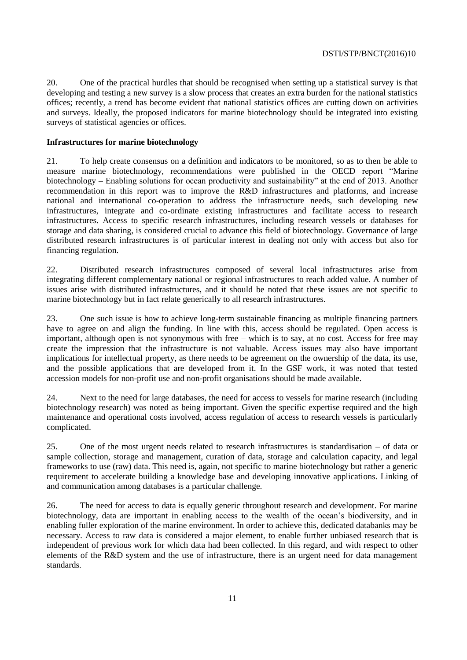20. One of the practical hurdles that should be recognised when setting up a statistical survey is that developing and testing a new survey is a slow process that creates an extra burden for the national statistics offices; recently, a trend has become evident that national statistics offices are cutting down on activities and surveys. Ideally, the proposed indicators for marine biotechnology should be integrated into existing surveys of statistical agencies or offices.

#### <span id="page-10-0"></span>**Infrastructures for marine biotechnology**

21. To help create consensus on a definition and indicators to be monitored, so as to then be able to measure marine biotechnology, recommendations were published in the OECD report "Marine biotechnology – Enabling solutions for ocean productivity and sustainability" at the end of 2013. Another recommendation in this report was to improve the R&D infrastructures and platforms, and increase national and international co-operation to address the infrastructure needs, such developing new infrastructures, integrate and co-ordinate existing infrastructures and facilitate access to research infrastructures. Access to specific research infrastructures, including research vessels or databases for storage and data sharing, is considered crucial to advance this field of biotechnology. Governance of large distributed research infrastructures is of particular interest in dealing not only with access but also for financing regulation.

22. Distributed research infrastructures composed of several local infrastructures arise from integrating different complementary national or regional infrastructures to reach added value. A number of issues arise with distributed infrastructures, and it should be noted that these issues are not specific to marine biotechnology but in fact relate generically to all research infrastructures.

23. One such issue is how to achieve long-term sustainable financing as multiple financing partners have to agree on and align the funding. In line with this, access should be regulated. Open access is important, although open is not synonymous with free – which is to say, at no cost. Access for free may create the impression that the infrastructure is not valuable. Access issues may also have important implications for intellectual property, as there needs to be agreement on the ownership of the data, its use, and the possible applications that are developed from it. In the GSF work, it was noted that tested accession models for non-profit use and non-profit organisations should be made available.

24. Next to the need for large databases, the need for access to vessels for marine research (including biotechnology research) was noted as being important. Given the specific expertise required and the high maintenance and operational costs involved, access regulation of access to research vessels is particularly complicated.

25. One of the most urgent needs related to research infrastructures is standardisation – of data or sample collection, storage and management, curation of data, storage and calculation capacity, and legal frameworks to use (raw) data. This need is, again, not specific to marine biotechnology but rather a generic requirement to accelerate building a knowledge base and developing innovative applications. Linking of and communication among databases is a particular challenge.

26. The need for access to data is equally generic throughout research and development. For marine biotechnology, data are important in enabling access to the wealth of the ocean's biodiversity, and in enabling fuller exploration of the marine environment. In order to achieve this, dedicated databanks may be necessary. Access to raw data is considered a major element, to enable further unbiased research that is independent of previous work for which data had been collected. In this regard, and with respect to other elements of the R&D system and the use of infrastructure, there is an urgent need for data management standards.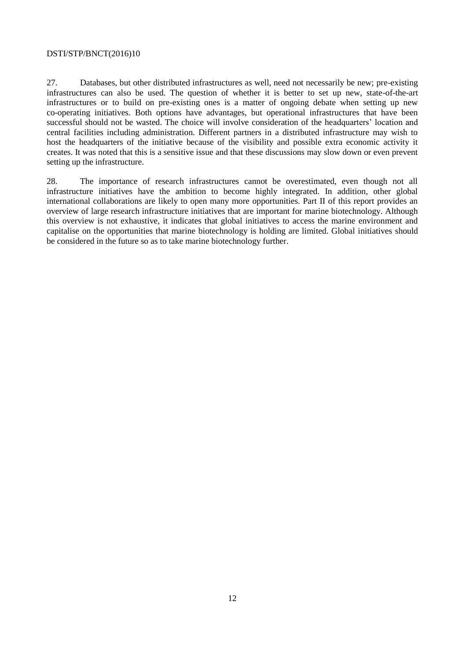27. Databases, but other distributed infrastructures as well, need not necessarily be new; pre-existing infrastructures can also be used. The question of whether it is better to set up new, state-of-the-art infrastructures or to build on pre-existing ones is a matter of ongoing debate when setting up new co-operating initiatives. Both options have advantages, but operational infrastructures that have been successful should not be wasted. The choice will involve consideration of the headquarters' location and central facilities including administration. Different partners in a distributed infrastructure may wish to host the headquarters of the initiative because of the visibility and possible extra economic activity it creates. It was noted that this is a sensitive issue and that these discussions may slow down or even prevent setting up the infrastructure.

28. The importance of research infrastructures cannot be overestimated, even though not all infrastructure initiatives have the ambition to become highly integrated. In addition, other global international collaborations are likely to open many more opportunities. Part II of this report provides an overview of large research infrastructure initiatives that are important for marine biotechnology. Although this overview is not exhaustive, it indicates that global initiatives to access the marine environment and capitalise on the opportunities that marine biotechnology is holding are limited. Global initiatives should be considered in the future so as to take marine biotechnology further.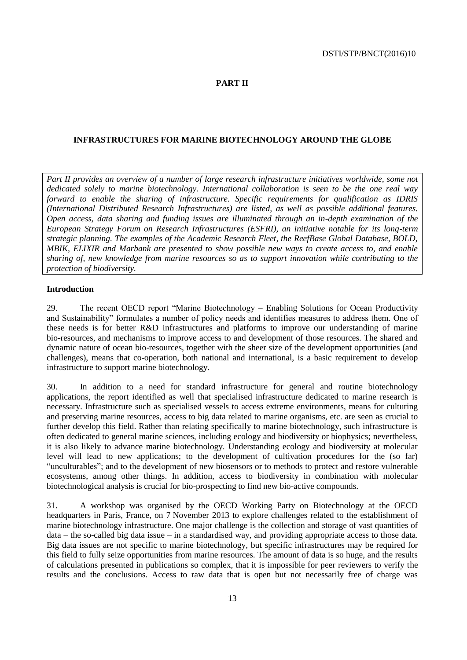#### <span id="page-12-0"></span>**PART II**

#### <span id="page-12-1"></span>**INFRASTRUCTURES FOR MARINE BIOTECHNOLOGY AROUND THE GLOBE**

*Part II provides an overview of a number of large research infrastructure initiatives worldwide, some not dedicated solely to marine biotechnology. International collaboration is seen to be the one real way forward to enable the sharing of infrastructure. Specific requirements for qualification as IDRIS (International Distributed Research Infrastructures) are listed, as well as possible additional features. Open access, data sharing and funding issues are illuminated through an in-depth examination of the European Strategy Forum on Research Infrastructures (ESFRI), an initiative notable for its long-term strategic planning. The examples of the Academic Research Fleet, the ReefBase Global Database, BOLD, MBIK, ELIXIR and Marbank are presented to show possible new ways to create access to, and enable sharing of, new knowledge from marine resources so as to support innovation while contributing to the protection of biodiversity.*

#### <span id="page-12-2"></span>**Introduction**

29. The recent OECD report "Marine Biotechnology – Enabling Solutions for Ocean Productivity and Sustainability" formulates a number of policy needs and identifies measures to address them. One of these needs is for better R&D infrastructures and platforms to improve our understanding of marine bio-resources, and mechanisms to improve access to and development of those resources. The shared and dynamic nature of ocean bio-resources, together with the sheer size of the development opportunities (and challenges), means that co-operation, both national and international, is a basic requirement to develop infrastructure to support marine biotechnology.

30. In addition to a need for standard infrastructure for general and routine biotechnology applications, the report identified as well that specialised infrastructure dedicated to marine research is necessary. Infrastructure such as specialised vessels to access extreme environments, means for culturing and preserving marine resources, access to big data related to marine organisms, etc. are seen as crucial to further develop this field. Rather than relating specifically to marine biotechnology, such infrastructure is often dedicated to general marine sciences, including ecology and biodiversity or biophysics; nevertheless, it is also likely to advance marine biotechnology. Understanding ecology and biodiversity at molecular level will lead to new applications; to the development of cultivation procedures for the (so far) "unculturables"; and to the development of new biosensors or to methods to protect and restore vulnerable ecosystems, among other things. In addition, access to biodiversity in combination with molecular biotechnological analysis is crucial for bio-prospecting to find new bio-active compounds.

31. A workshop was organised by the OECD Working Party on Biotechnology at the OECD headquarters in Paris, France, on 7 November 2013 to explore challenges related to the establishment of marine biotechnology infrastructure. One major challenge is the collection and storage of vast quantities of data – the so-called big data issue – in a standardised way, and providing appropriate access to those data. Big data issues are not specific to marine biotechnology, but specific infrastructures may be required for this field to fully seize opportunities from marine resources. The amount of data is so huge, and the results of calculations presented in publications so complex, that it is impossible for peer reviewers to verify the results and the conclusions. Access to raw data that is open but not necessarily free of charge was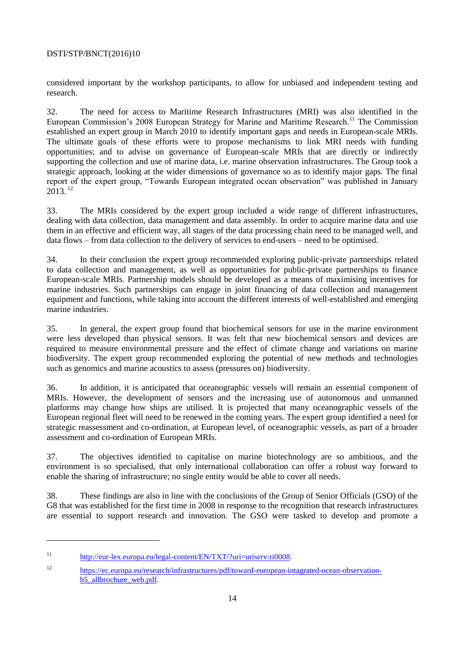considered important by the workshop participants, to allow for unbiased and independent testing and research.

32. The need for access to Maritime Research Infrastructures (MRI) was also identified in the European Commission's 2008 European Strategy for Marine and Maritime Research.<sup>11</sup> The Commission established an expert group in March 2010 to identify important gaps and needs in European-scale MRIs. The ultimate goals of these efforts were to propose mechanisms to link MRI needs with funding opportunities; and to advise on governance of European-scale MRIs that are directly or indirectly supporting the collection and use of marine data, i.e. marine observation infrastructures. The Group took a strategic approach, looking at the wider dimensions of governance so as to identify major gaps. The final report of the expert group, "Towards European integrated ocean observation" was published in January  $2013.$ <sup>12</sup>

33. The MRIs considered by the expert group included a wide range of different infrastructures, dealing with data collection, data management and data assembly. In order to acquire marine data and use them in an effective and efficient way, all stages of the data processing chain need to be managed well, and data flows – from data collection to the delivery of services to end-users – need to be optimised.

34. In their conclusion the expert group recommended exploring public-private partnerships related to data collection and management, as well as opportunities for public-private partnerships to finance European-scale MRIs. Partnership models should be developed as a means of maximising incentives for marine industries. Such partnerships can engage in joint financing of data collection and management equipment and functions, while taking into account the different interests of well-established and emerging marine industries.

35. In general, the expert group found that biochemical sensors for use in the marine environment were less developed than physical sensors. It was felt that new biochemical sensors and devices are required to measure environmental pressure and the effect of climate change and variations on marine biodiversity. The expert group recommended exploring the potential of new methods and technologies such as genomics and marine acoustics to assess (pressures on) biodiversity.

36. In addition, it is anticipated that oceanographic vessels will remain an essential component of MRIs. However, the development of sensors and the increasing use of autonomous and unmanned platforms may change how ships are utilised. It is projected that many oceanographic vessels of the European regional fleet will need to be renewed in the coming years. The expert group identified a need for strategic reassessment and co-ordination, at European level, of oceanographic vessels, as part of a broader assessment and co-ordination of European MRIs.

37. The objectives identified to capitalise on marine biotechnology are so ambitious, and the environment is so specialised, that only international collaboration can offer a robust way forward to enable the sharing of infrastructure; no single entity would be able to cover all needs.

38. These findings are also in line with the conclusions of the Group of Senior Officials (GSO) of the G8 that was established for the first time in 2008 in response to the recognition that research infrastructures are essential to support research and innovation. The GSO were tasked to develop and promote a

<sup>11</sup> [http://eur-lex.europa.eu/legal-content/EN/TXT/?uri=uriserv:ri0008.](http://eur-lex.europa.eu/legal-content/EN/TXT/?uri=uriserv:ri0008)

<sup>12</sup> [https://ec.europa.eu/research/infrastructures/pdf/toward-european-intagrated-ocean-observation](https://ec.europa.eu/research/infrastructures/pdf/toward-european-intagrated-ocean-observation-b5_allbrochure_web.pdf)b5<sup>dllbrochure\_web.pdf.</sup>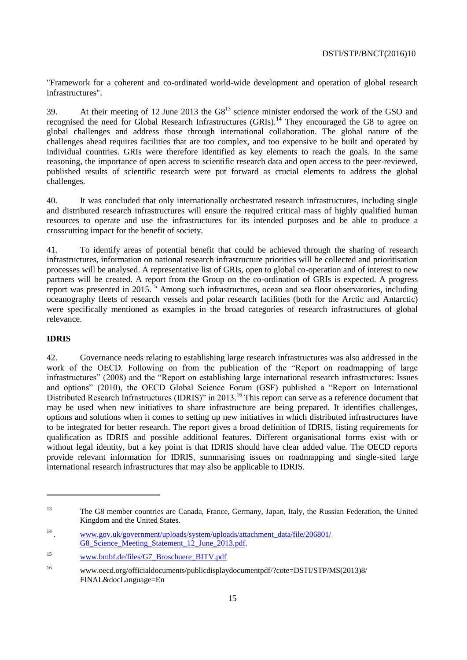"Framework for a coherent and co-ordinated world-wide development and operation of global research infrastructures".

39. At their meeting of 12 June 2013 the  $G8<sup>13</sup>$  science minister endorsed the work of the GSO and recognised the need for Global Research Infrastructures (GRIs).<sup>14</sup> They encouraged the G8 to agree on global challenges and address those through international collaboration. The global nature of the challenges ahead requires facilities that are too complex, and too expensive to be built and operated by individual countries. GRIs were therefore identified as key elements to reach the goals. In the same reasoning, the importance of open access to scientific research data and open access to the peer-reviewed, published results of scientific research were put forward as crucial elements to address the global challenges.

40. It was concluded that only internationally orchestrated research infrastructures, including single and distributed research infrastructures will ensure the required critical mass of highly qualified human resources to operate and use the infrastructures for its intended purposes and be able to produce a crosscutting impact for the benefit of society.

41. To identify areas of potential benefit that could be achieved through the sharing of research infrastructures, information on national research infrastructure priorities will be collected and prioritisation processes will be analysed. A representative list of GRIs, open to global co-operation and of interest to new partners will be created. A report from the Group on the co-ordination of GRIs is expected. A progress report was presented in 2015.<sup>15</sup> Among such infrastructures, ocean and sea floor observatories, including oceanography fleets of research vessels and polar research facilities (both for the Arctic and Antarctic) were specifically mentioned as examples in the broad categories of research infrastructures of global relevance.

# <span id="page-14-0"></span>**IDRIS**

 $\overline{a}$ 

42. Governance needs relating to establishing large research infrastructures was also addressed in the work of the OECD. Following on from the publication of the "Report on roadmapping of large infrastructures" (2008) and the "Report on establishing large international research infrastructures: Issues and options" (2010), the OECD Global Science Forum (GSF) published a "Report on International Distributed Research Infrastructures (IDRIS)" in 2013.<sup>16</sup> This report can serve as a reference document that may be used when new initiatives to share infrastructure are being prepared. It identifies challenges, options and solutions when it comes to setting up new initiatives in which distributed infrastructures have to be integrated for better research. The report gives a broad definition of IDRIS, listing requirements for qualification as IDRIS and possible additional features. Different organisational forms exist with or without legal identity, but a key point is that IDRIS should have clear added value. The OECD reports provide relevant information for IDRIS, summarising issues on roadmapping and single-sited large international research infrastructures that may also be applicable to IDRIS.

<sup>13</sup> The G8 member countries are Canada, France, Germany, Japan, Italy, the Russian Federation, the United Kingdom and the United States.

<sup>14</sup> . [www.gov.uk/government/uploads/system/uploads/attachment\\_data/file/206801/](http://www.gov.uk/government/uploads/system/uploads/attachment_data/file/206801/G8_Science_Meeting_Statement_12_June_2013.pdf) G8 Science Meeting Statement 12 June 2013.pdf.

<sup>15</sup> [www.bmbf.de/files/G7\\_Broschuere\\_BITV.pdf](http://www.bmbf.de/files/G7_Broschuere_BITV.pdf)

<sup>16</sup> www.oecd.org/officialdocuments/publicdisplaydocumentpdf/?cote=DSTI/STP/MS(2013)8/ FINAL&docLanguage=En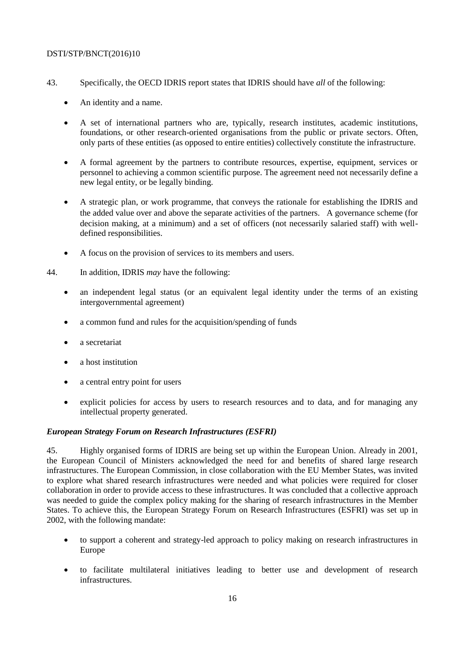- 43. Specifically, the OECD IDRIS report states that IDRIS should have *all* of the following:
	- An identity and a name.
	- A set of international partners who are, typically, research institutes, academic institutions, foundations, or other research-oriented organisations from the public or private sectors. Often, only parts of these entities (as opposed to entire entities) collectively constitute the infrastructure.
	- A formal agreement by the partners to contribute resources, expertise, equipment, services or personnel to achieving a common scientific purpose. The agreement need not necessarily define a new legal entity, or be legally binding.
	- A strategic plan, or work programme, that conveys the rationale for establishing the IDRIS and the added value over and above the separate activities of the partners. A governance scheme (for decision making, at a minimum) and a set of officers (not necessarily salaried staff) with welldefined responsibilities.
	- A focus on the provision of services to its members and users.
- 44. In addition, IDRIS *may* have the following:
	- an independent legal status (or an equivalent legal identity under the terms of an existing intergovernmental agreement)
	- a common fund and rules for the acquisition/spending of funds
	- a secretariat
	- a host institution
	- a central entry point for users
	- explicit policies for access by users to research resources and to data, and for managing any intellectual property generated.

# *European Strategy Forum on Research Infrastructures (ESFRI)*

45. Highly organised forms of IDRIS are being set up within the European Union. Already in 2001, the European Council of Ministers acknowledged the need for and benefits of shared large research infrastructures. The European Commission, in close collaboration with the EU Member States, was invited to explore what shared research infrastructures were needed and what policies were required for closer collaboration in order to provide access to these infrastructures. It was concluded that a collective approach was needed to guide the complex policy making for the sharing of research infrastructures in the Member States. To achieve this, the European Strategy Forum on Research Infrastructures (ESFRI) was set up in 2002, with the following mandate:

- to support a coherent and strategy-led approach to policy making on research infrastructures in Europe
- to facilitate multilateral initiatives leading to better use and development of research infrastructures.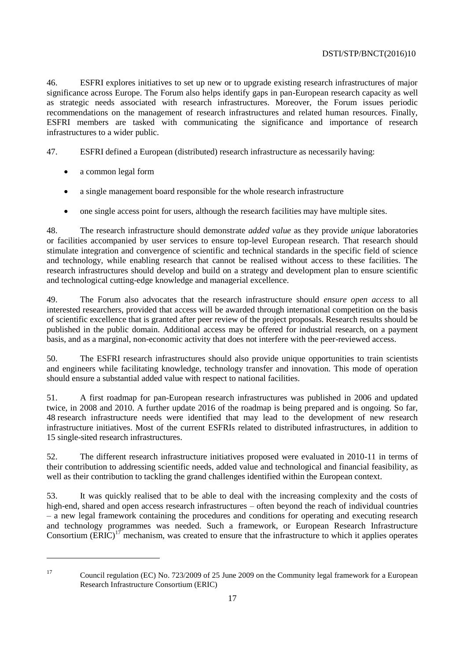46. ESFRI explores initiatives to set up new or to upgrade existing research infrastructures of major significance across Europe. The Forum also helps identify gaps in pan-European research capacity as well as strategic needs associated with research infrastructures. Moreover, the Forum issues periodic recommendations on the management of research infrastructures and related human resources. Finally, ESFRI members are tasked with communicating the significance and importance of research infrastructures to a wider public.

47. ESFRI defined a European (distributed) research infrastructure as necessarily having:

- a common legal form
- a single management board responsible for the whole research infrastructure
- one single access point for users, although the research facilities may have multiple sites.

48. The research infrastructure should demonstrate *added value* as they provide *unique* laboratories or facilities accompanied by user services to ensure top-level European research. That research should stimulate integration and convergence of scientific and technical standards in the specific field of science and technology, while enabling research that cannot be realised without access to these facilities. The research infrastructures should develop and build on a strategy and development plan to ensure scientific and technological cutting-edge knowledge and managerial excellence.

49. The Forum also advocates that the research infrastructure should *ensure open access* to all interested researchers, provided that access will be awarded through international competition on the basis of scientific excellence that is granted after peer review of the project proposals. Research results should be published in the public domain. Additional access may be offered for industrial research, on a payment basis, and as a marginal, non-economic activity that does not interfere with the peer-reviewed access.

50. The ESFRI research infrastructures should also provide unique opportunities to train scientists and engineers while facilitating knowledge, technology transfer and innovation. This mode of operation should ensure a substantial added value with respect to national facilities.

51. A first roadmap for pan-European research infrastructures was published in 2006 and updated twice, in 2008 and 2010. A further update 2016 of the roadmap is being prepared and is ongoing. So far, 48 research infrastructure needs were identified that may lead to the development of new research infrastructure initiatives. Most of the current ESFRIs related to distributed infrastructures, in addition to 15 single-sited research infrastructures.

52. The different research infrastructure initiatives proposed were evaluated in 2010-11 in terms of their contribution to addressing scientific needs, added value and technological and financial feasibility, as well as their contribution to tackling the grand challenges identified within the European context.

53. It was quickly realised that to be able to deal with the increasing complexity and the costs of high-end, shared and open access research infrastructures – often beyond the reach of individual countries – a new legal framework containing the procedures and conditions for operating and executing research and technology programmes was needed. Such a framework, or European Research Infrastructure Consortium  $\overline{(ERIC)}^{17}$  mechanism, was created to ensure that the infrastructure to which it applies operates

<sup>17</sup> Council regulation (EC) No. 723/2009 of 25 June 2009 on the Community legal framework for a European Research Infrastructure Consortium (ERIC)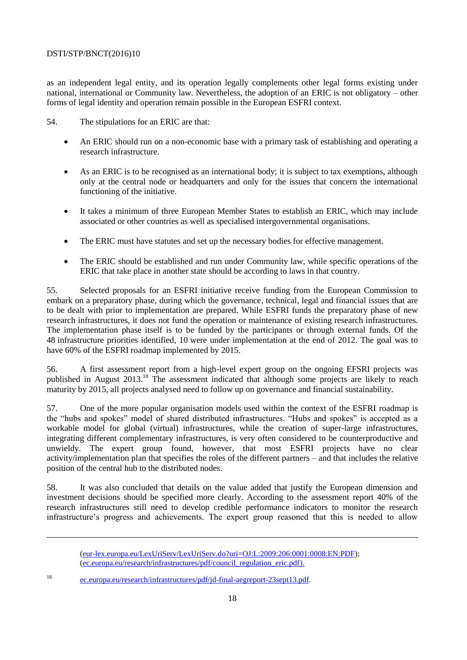as an independent legal entity, and its operation legally complements other legal forms existing under national, international or Community law. Nevertheless, the adoption of an ERIC is not obligatory – other forms of legal identity and operation remain possible in the European ESFRI context.

54. The stipulations for an ERIC are that:

- An ERIC should run on a non-economic base with a primary task of establishing and operating a research infrastructure.
- As an ERIC is to be recognised as an international body; it is subject to tax exemptions, although only at the central node or headquarters and only for the issues that concern the international functioning of the initiative.
- It takes a minimum of three European Member States to establish an ERIC, which may include associated or other countries as well as specialised intergovernmental organisations.
- The ERIC must have statutes and set up the necessary bodies for effective management.
- The ERIC should be established and run under Community law, while specific operations of the ERIC that take place in another state should be according to laws in that country.

55. Selected proposals for an ESFRI initiative receive funding from the European Commission to embark on a preparatory phase, during which the governance, technical, legal and financial issues that are to be dealt with prior to implementation are prepared. While ESFRI funds the preparatory phase of new research infrastructures, it does not fund the operation or maintenance of existing research infrastructures. The implementation phase itself is to be funded by the participants or through external funds. Of the 48 infrastructure priorities identified, 10 were under implementation at the end of 2012. The goal was to have 60% of the ESFRI roadmap implemented by 2015.

56. A first assessment report from a high-level expert group on the ongoing EFSRI projects was published in August 2013.<sup>18</sup> The assessment indicated that although some projects are likely to reach maturity by 2015, all projects analysed need to follow up on governance and financial sustainability.

57. One of the more popular organisation models used within the context of the ESFRI roadmap is the "hubs and spokes" model of shared distributed infrastructures. "Hubs and spokes" is accepted as a workable model for global (virtual) infrastructures, while the creation of super-large infrastructures, integrating different complementary infrastructures, is very often considered to be counterproductive and unwieldy. The expert group found, however, that most ESFRI projects have no clear activity/implementation plan that specifies the roles of the different partners – and that includes the relative position of the central hub to the distributed nodes.

58. It was also concluded that details on the value added that justify the European dimension and investment decisions should be specified more clearly. According to the assessment report 40% of the research infrastructures still need to develop credible performance indicators to monitor the research infrastructure's progress and achievements. The expert group reasoned that this is needed to allow

<sup>18</sup> [ec.europa.eu/research/infrastructures/pdf/jd-final-aegreport-23sept13.pdf.](http://ec.europa.eu/research/infrastructures/pdf/jd-final-aegreport-23sept13.pdf)

[<sup>\(</sup>eur-lex.europa.eu/LexUriServ/LexUriServ.do?uri=OJ:L:2009:206:0001:0008:EN:PDF\)](http://eur-lex.europa.eu/LexUriServ/LexUriServ.do?uri=OJ:L:2009:206:0001:0008:EN:PDF); [\(ec.europa.eu/research/infrastructures/pdf/council\\_regulation\\_eric.pdf\)](http://ec.europa.eu/research/infrastructures/pdf/council_regulation_eric.pdf).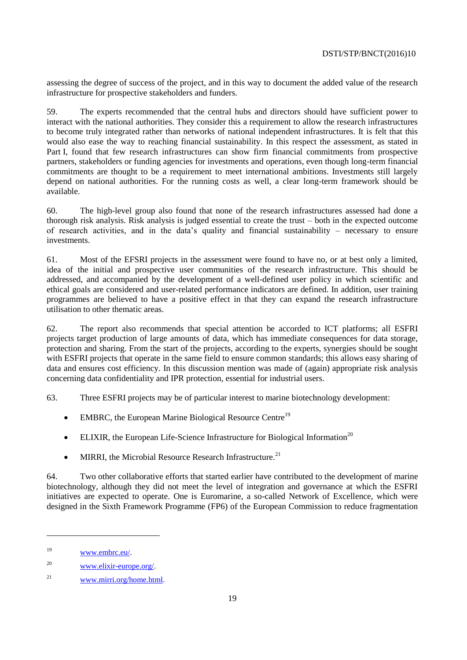assessing the degree of success of the project, and in this way to document the added value of the research infrastructure for prospective stakeholders and funders.

59. The experts recommended that the central hubs and directors should have sufficient power to interact with the national authorities. They consider this a requirement to allow the research infrastructures to become truly integrated rather than networks of national independent infrastructures. It is felt that this would also ease the way to reaching financial sustainability. In this respect the assessment, as stated in Part I, found that few research infrastructures can show firm financial commitments from prospective partners, stakeholders or funding agencies for investments and operations, even though long-term financial commitments are thought to be a requirement to meet international ambitions. Investments still largely depend on national authorities. For the running costs as well, a clear long-term framework should be available.

60. The high-level group also found that none of the research infrastructures assessed had done a thorough risk analysis. Risk analysis is judged essential to create the trust – both in the expected outcome of research activities, and in the data's quality and financial sustainability – necessary to ensure investments.

61. Most of the EFSRI projects in the assessment were found to have no, or at best only a limited, idea of the initial and prospective user communities of the research infrastructure. This should be addressed, and accompanied by the development of a well-defined user policy in which scientific and ethical goals are considered and user-related performance indicators are defined. In addition, user training programmes are believed to have a positive effect in that they can expand the research infrastructure utilisation to other thematic areas.

62. The report also recommends that special attention be accorded to ICT platforms; all ESFRI projects target production of large amounts of data, which has immediate consequences for data storage, protection and sharing. From the start of the projects, according to the experts, synergies should be sought with ESFRI projects that operate in the same field to ensure common standards; this allows easy sharing of data and ensures cost efficiency. In this discussion mention was made of (again) appropriate risk analysis concerning data confidentiality and IPR protection, essential for industrial users.

63. Three ESFRI projects may be of particular interest to marine biotechnology development:

- $\bullet$  EMBRC, the European Marine Biological Resource Centre<sup>19</sup>
- ELIXIR, the European Life-Science Infrastructure for Biological Information<sup>20</sup>
- MIRRI, the Microbial Resource Research Infrastructure.<sup>21</sup>

64. Two other collaborative efforts that started earlier have contributed to the development of marine biotechnology, although they did not meet the level of integration and governance at which the ESFRI initiatives are expected to operate. One is Euromarine, a so-called Network of Excellence, which were designed in the Sixth Framework Programme (FP6) of the European Commission to reduce fragmentation

<sup>19</sup> [www.embrc.eu/.](http://www.embrc.eu/)

<sup>20</sup> [www.elixir-europe.org/.](http://www.elixir-europe.org/)

<sup>21</sup> [www.mirri.org/home.html.](http://www.mirri.org/home.html)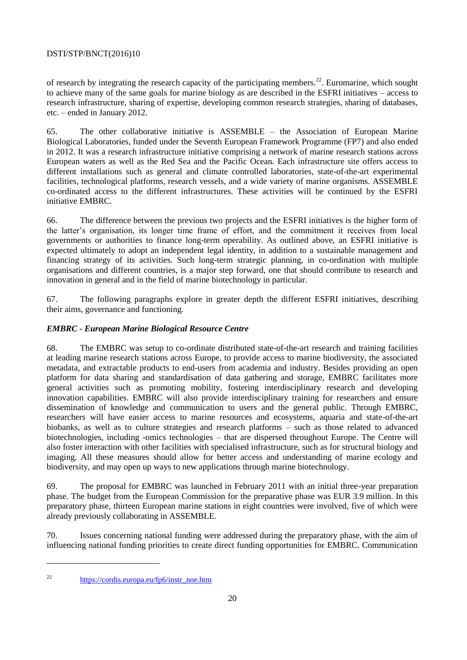of research by integrating the research capacity of the participating members.<sup>22</sup>. Euromarine, which sought to achieve many of the same goals for marine biology as are described in the ESFRI initiatives – access to research infrastructure, sharing of expertise, developing common research strategies, sharing of databases, etc. – ended in January 2012.

65. The other collaborative initiative is ASSEMBLE – the Association of European Marine Biological Laboratories, funded under the Seventh European Framework Programme (FP7) and also ended in 2012. It was a research infrastructure initiative comprising a network of marine research stations across European waters as well as the Red Sea and the Pacific Ocean. Each infrastructure site offers access to different installations such as general and climate controlled laboratories, state-of-the-art experimental facilities, technological platforms, research vessels, and a wide variety of marine organisms. ASSEMBLE co-ordinated access to the different infrastructures. These activities will be continued by the ESFRI initiative EMBRC.

66. The difference between the previous two projects and the ESFRI initiatives is the higher form of the latter's organisation, its longer time frame of effort, and the commitment it receives from local governments or authorities to finance long-term operability. As outlined above, an ESFRI initiative is expected ultimately to adopt an independent legal identity, in addition to a sustainable management and financing strategy of its activities. Such long-term strategic planning, in co-ordination with multiple organisations and different countries, is a major step forward, one that should contribute to research and innovation in general and in the field of marine biotechnology in particular.

67. The following paragraphs explore in greater depth the different ESFRI initiatives, describing their aims, governance and functioning.

# *EMBRC - European Marine Biological Resource Centre*

68. The EMBRC was setup to co-ordinate distributed state-of-the-art research and training facilities at leading marine research stations across Europe, to provide access to marine biodiversity, the associated metadata, and extractable products to end-users from academia and industry. Besides providing an open platform for data sharing and standardisation of data gathering and storage, EMBRC facilitates more general activities such as promoting mobility, fostering interdisciplinary research and developing innovation capabilities. EMBRC will also provide interdisciplinary training for researchers and ensure dissemination of knowledge and communication to users and the general public. Through EMBRC, researchers will have easier access to marine resources and ecosystems, aquaria and state-of-the-art biobanks, as well as to culture strategies and research platforms – such as those related to advanced biotechnologies, including -omics technologies – that are dispersed throughout Europe. The Centre will also foster interaction with other facilities with specialised infrastructure, such as for structural biology and imaging. All these measures should allow for better access and understanding of marine ecology and biodiversity, and may open up ways to new applications through marine biotechnology.

69. The proposal for EMBRC was launched in February 2011 with an initial three-year preparation phase. The budget from the European Commission for the preparative phase was EUR 3.9 million. In this preparatory phase, thirteen European marine stations in eight countries were involved, five of which were already previously collaborating in ASSEMBLE.

70. Issues concerning national funding were addressed during the preparatory phase, with the aim of influencing national funding priorities to create direct funding opportunities for EMBRC. Communication

<sup>22</sup> [https://cordis.europa.eu/fp6/instr\\_noe.htm](https://cordis.europa.eu/fp6/instr_noe.htm)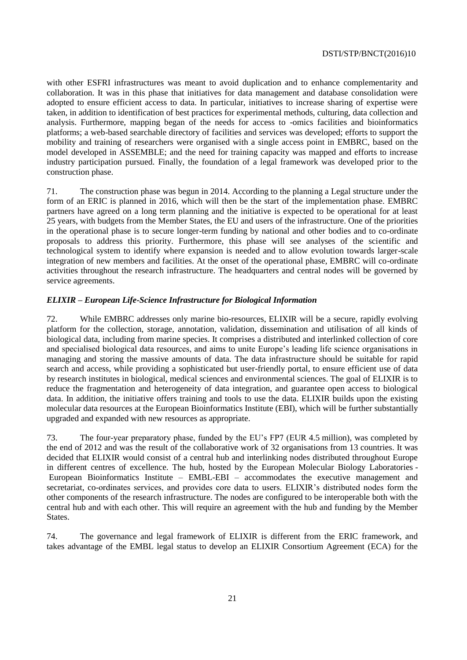with other ESFRI infrastructures was meant to avoid duplication and to enhance complementarity and collaboration. It was in this phase that initiatives for data management and database consolidation were adopted to ensure efficient access to data. In particular, initiatives to increase sharing of expertise were taken, in addition to identification of best practices for experimental methods, culturing, data collection and analysis. Furthermore, mapping began of the needs for access to -omics facilities and bioinformatics platforms; a web-based searchable directory of facilities and services was developed; efforts to support the mobility and training of researchers were organised with a single access point in EMBRC, based on the model developed in ASSEMBLE; and the need for training capacity was mapped and efforts to increase industry participation pursued. Finally, the foundation of a legal framework was developed prior to the construction phase.

71. The construction phase was begun in 2014. According to the planning a Legal structure under the form of an ERIC is planned in 2016, which will then be the start of the implementation phase. EMBRC partners have agreed on a long term planning and the initiative is expected to be operational for at least 25 years, with budgets from the Member States, the EU and users of the infrastructure. One of the priorities in the operational phase is to secure longer-term funding by national and other bodies and to co-ordinate proposals to address this priority. Furthermore, this phase will see analyses of the scientific and technological system to identify where expansion is needed and to allow evolution towards larger-scale integration of new members and facilities. At the onset of the operational phase, EMBRC will co-ordinate activities throughout the research infrastructure. The headquarters and central nodes will be governed by service agreements.

#### *ELIXIR – European Life-Science Infrastructure for Biological Information*

72. While EMBRC addresses only marine bio-resources, ELIXIR will be a secure, rapidly evolving platform for the collection, storage, annotation, validation, dissemination and utilisation of all kinds of biological data, including from marine species. It comprises a distributed and interlinked collection of core and specialised biological data resources, and aims to unite Europe's leading life science organisations in managing and storing the massive amounts of data. The data infrastructure should be suitable for rapid search and access, while providing a sophisticated but user-friendly portal, to ensure efficient use of data by research institutes in biological, medical sciences and environmental sciences. The goal of ELIXIR is to reduce the fragmentation and heterogeneity of data integration, and guarantee open access to biological data. In addition, the initiative offers training and tools to use the data. ELIXIR builds upon the existing molecular data resources at the European Bioinformatics Institute (EBI), which will be further substantially upgraded and expanded with new resources as appropriate.

73. The four-year preparatory phase, funded by the EU's FP7 (EUR 4.5 million), was completed by the end of 2012 and was the result of the collaborative work of 32 organisations from 13 countries. It was decided that ELIXIR would consist of a central hub and interlinking nodes distributed throughout Europe in different centres of excellence. The hub, hosted by the European Molecular Biology Laboratories - European Bioinformatics Institute – EMBL-EBI – accommodates the executive management and secretariat, co-ordinates services, and provides core data to users. ELIXIR's distributed nodes form the other components of the research infrastructure. The nodes are configured to be interoperable both with the central hub and with each other. This will require an agreement with the hub and funding by the Member States.

74. The governance and legal framework of ELIXIR is different from the ERIC framework, and takes advantage of the EMBL legal status to develop an ELIXIR Consortium Agreement (ECA) for the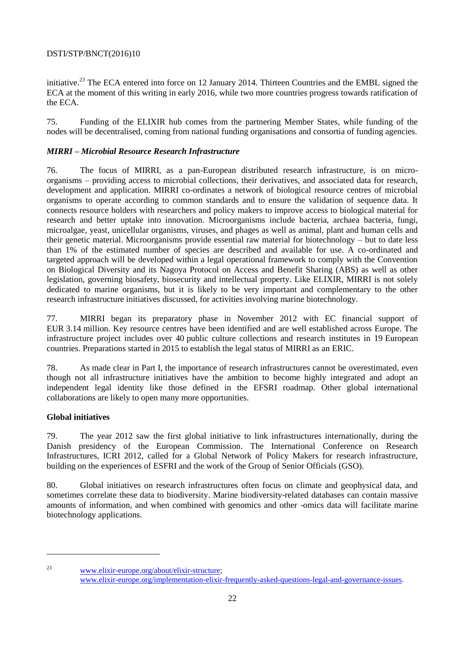initiative.<sup>23</sup> The ECA entered into force on 12 January 2014. Thirteen Countries and the EMBL signed the ECA at the moment of this writing in early 2016, while two more countries progress towards ratification of the ECA.

75. Funding of the ELIXIR hub comes from the partnering Member States, while funding of the nodes will be decentralised, coming from national funding organisations and consortia of funding agencies.

# *MIRRI – Microbial Resource Research Infrastructure*

76. The focus of MIRRI, as a pan-European distributed research infrastructure, is on microorganisms – providing access to microbial collections, their derivatives, and associated data for research, development and application. MIRRI co-ordinates a network of biological resource centres of microbial organisms to operate according to common standards and to ensure the validation of sequence data. It connects resource holders with researchers and policy makers to improve access to biological material for research and better uptake into innovation. Microorganisms include bacteria, archaea bacteria, fungi, microalgae, yeast, unicellular organisms, viruses, and phages as well as animal, plant and human cells and their genetic material. Microorganisms provide essential raw material for biotechnology – but to date less than 1% of the estimated number of species are described and available for use. A co-ordinated and targeted approach will be developed within a legal operational framework to comply with the Convention on Biological Diversity and its Nagoya Protocol on Access and Benefit Sharing (ABS) as well as other legislation, governing biosafety, biosecurity and intellectual property. Like ELIXIR, MIRRI is not solely dedicated to marine organisms, but it is likely to be very important and complementary to the other research infrastructure initiatives discussed, for activities involving marine biotechnology.

77. MIRRI began its preparatory phase in November 2012 with EC financial support of EUR 3.14 million. Key resource centres have been identified and are well established across Europe. The infrastructure project includes over 40 public culture collections and research institutes in 19 European countries. Preparations started in 2015 to establish the legal status of MIRRI as an ERIC.

78. As made clear in Part I, the importance of research infrastructures cannot be overestimated, even though not all infrastructure initiatives have the ambition to become highly integrated and adopt an independent legal identity like those defined in the EFSRI roadmap. Other global international collaborations are likely to open many more opportunities.

# <span id="page-21-0"></span>**Global initiatives**

79. The year 2012 saw the first global initiative to link infrastructures internationally, during the Danish presidency of the European Commission. The International Conference on Research Infrastructures, ICRI 2012, called for a Global Network of Policy Makers for research infrastructure, building on the experiences of ESFRI and the work of the Group of Senior Officials (GSO).

80. Global initiatives on research infrastructures often focus on climate and geophysical data, and sometimes correlate these data to biodiversity. Marine biodiversity-related databases can contain massive amounts of information, and when combined with genomics and other -omics data will facilitate marine biotechnology applications.

<sup>23</sup> [www.elixir-europe.org/about/elixir-structure;](http://www.elixir-europe.org/about/elixir-structure) [www.elixir-europe.org/implementation-elixir-frequently-asked-questions-legal-and-governance-issues.](http://www.elixir-europe.org/implementation-elixir-frequently-asked-questions-legal-and-governance-issues)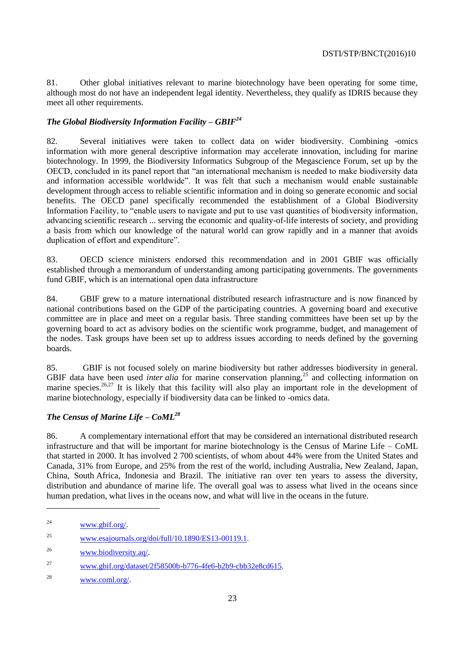81. Other global initiatives relevant to marine biotechnology have been operating for some time, although most do not have an independent legal identity. Nevertheless, they qualify as IDRIS because they meet all other requirements.

# *The Global Biodiversity Information Facility – GBIF<sup>24</sup>*

82. Several initiatives were taken to collect data on wider biodiversity. Combining -omics information with more general descriptive information may accelerate innovation, including for marine biotechnology. In 1999, the Biodiversity Informatics Subgroup of the Megascience Forum, set up by the OECD, concluded in its panel report that "an international mechanism is needed to make biodiversity data and information accessible worldwide". It was felt that such a mechanism would enable sustainable development through access to reliable scientific information and in doing so generate economic and social benefits. The OECD panel specifically recommended the establishment of a Global Biodiversity Information Facility, to "enable users to navigate and put to use vast quantities of biodiversity information, advancing scientific research ... serving the economic and quality-of-life interests of society, and providing a basis from which our knowledge of the natural world can grow rapidly and in a manner that avoids duplication of effort and expenditure".

83. OECD science ministers endorsed this recommendation and in 2001 GBIF was officially established through a memorandum of understanding among participating governments. The governments fund GBIF, which is an international open data infrastructure

84. GBIF grew to a mature international distributed research infrastructure and is now financed by national contributions based on the GDP of the participating countries. A governing board and executive committee are in place and meet on a regular basis. Three standing committees have been set up by the governing board to act as advisory bodies on the scientific work programme, budget, and management of the nodes. Task groups have been set up to address issues according to needs defined by the governing boards.

85. GBIF is not focused solely on marine biodiversity but rather addresses biodiversity in general. GBIF data have been used *inter alia* for marine conservation planning,<sup>25</sup> and collecting information on marine species.<sup>26,27</sup> It is likely that this facility will also play an important role in the development of marine biotechnology, especially if biodiversity data can be linked to -omics data.

# *The Census of Marine Life – CoML<sup>28</sup>*

86. A complementary international effort that may be considered an international distributed research infrastructure and that will be important for marine biotechnology is the Census of Marine Life – CoML that started in 2000. It has involved 2 700 scientists, of whom about 44% were from the United States and Canada, 31% from Europe, and 25% from the rest of the world, including Australia, New Zealand, Japan, China, South Africa, Indonesia and Brazil. The initiative ran over ten years to assess the diversity, distribution and abundance of marine life. The overall goal was to assess what lived in the oceans since human predation, what lives in the oceans now, and what will live in the oceans in the future.

<sup>24</sup> [www.gbif.org/.](http://www.gbif.org/)

<sup>&</sup>lt;sup>25</sup> [www.esajournals.org/doi/full/10.1890/ES13-00119.1.](http://www.esajournals.org/doi/full/10.1890/ES13-00119.1)

<sup>26</sup> [www.biodiversity.aq/.](http://www.biodiversity.aq/)

<sup>27</sup> [www.gbif.org/dataset/2f58500b-b776-4fe6-b2b9-cbb32e8cd615.](http://www.gbif.org/dataset/2f58500b-b776-4fe6-b2b9-cbb32e8cd615)

<sup>28</sup> [www.coml.org/.](http://www.coml.org/)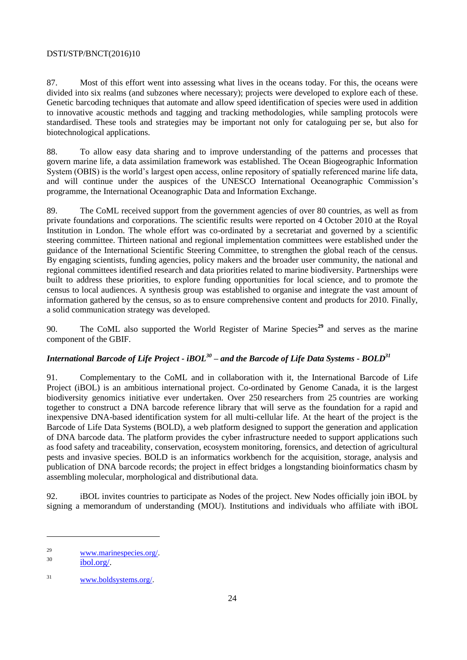87. Most of this effort went into assessing what lives in the oceans today. For this, the oceans were divided into six realms (and subzones where necessary); projects were developed to explore each of these. Genetic barcoding techniques that automate and allow speed identification of species were used in addition to innovative acoustic methods and tagging and tracking methodologies, while sampling protocols were standardised. These tools and strategies may be important not only for cataloguing per se, but also for biotechnological applications.

88. To allow easy data sharing and to improve understanding of the patterns and processes that govern marine life, a data assimilation framework was established. The Ocean Biogeographic Information System (OBIS) is the world's largest open access, online repository of spatially referenced marine life data, and will continue under the auspices of the UNESCO International Oceanographic Commission's programme, the International Oceanographic Data and Information Exchange.

89. The CoML received support from the government agencies of over 80 countries, as well as from private foundations and corporations. The scientific results were reported on 4 October 2010 at the Royal Institution in London. The whole effort was co-ordinated by a secretariat and governed by a scientific steering committee. Thirteen national and regional implementation committees were established under the guidance of the International Scientific Steering Committee, to strengthen the global reach of the census. By engaging scientists, funding agencies, policy makers and the broader user community, the national and regional committees identified research and data priorities related to marine biodiversity. Partnerships were built to address these priorities, to explore funding opportunities for local science, and to promote the census to local audiences. A synthesis group was established to organise and integrate the vast amount of information gathered by the census, so as to ensure comprehensive content and products for 2010. Finally, a solid communication strategy was developed.

90. The CoML also supported the World Register of Marine Species**<sup>29</sup>** and serves as the marine component of the GBIF.

# *International Barcode of Life Project - iBOL<sup>30</sup> – and the Barcode of Life Data Systems - BOLD<sup>31</sup>*

91. Complementary to the CoML and in collaboration with it, the International Barcode of Life Project (iBOL) is an ambitious international project. Co-ordinated by Genome Canada, it is the largest biodiversity genomics initiative ever undertaken. Over 250 researchers from 25 countries are working together to construct a DNA barcode reference library that will serve as the foundation for a rapid and inexpensive DNA-based identification system for all multi-cellular life. At the heart of the project is the Barcode of Life Data Systems (BOLD), a web platform designed to support the generation and application of DNA barcode data. The platform provides the cyber infrastructure needed to support applications such as food safety and traceability, conservation, ecosystem monitoring, forensics, and detection of agricultural pests and invasive species. BOLD is an informatics workbench for the acquisition, storage, analysis and publication of DNA barcode records; the project in effect bridges a longstanding bioinformatics chasm by assembling molecular, morphological and distributional data.

92. iBOL invites countries to participate as Nodes of the project. New Nodes officially join iBOL by signing a memorandum of understanding (MOU). Institutions and individuals who affiliate with iBOL

 $\frac{29}{30}$  [www.marinespecies.org/.](http://www.marinespecies.org/)

[ibol.org/.](http://ibol.org/)

<sup>31</sup> [www.boldsystems.org/.](http://www.boldsystems.org/)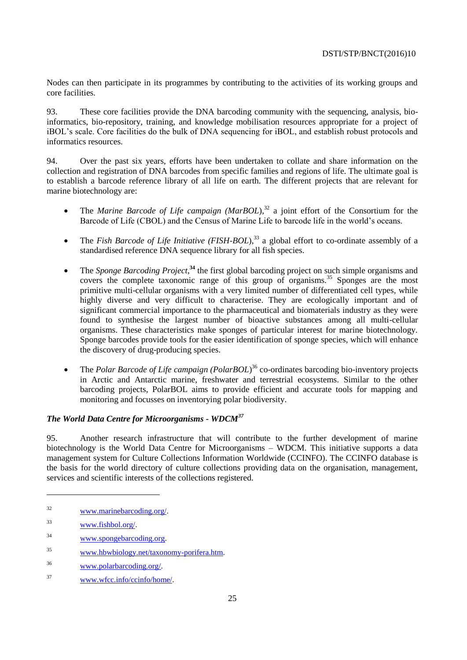Nodes can then participate in its programmes by contributing to the activities of its working groups and core facilities.

93. These core facilities provide the DNA barcoding community with the sequencing, analysis, bioinformatics, bio-repository, training, and knowledge mobilisation resources appropriate for a project of iBOL's scale. Core facilities do the bulk of DNA sequencing for iBOL, and establish robust protocols and informatics resources.

94. Over the past six years, efforts have been undertaken to collate and share information on the collection and registration of DNA barcodes from specific families and regions of life. The ultimate goal is to establish a barcode reference library of all life on earth. The different projects that are relevant for marine biotechnology are:

- The *Marine Barcode of Life campaign (MarBOL*),<sup>32</sup> a joint effort of the Consortium for the Barcode of Life (CBOL) and the Census of Marine Life to barcode life in the world's oceans.
- The *Fish Barcode of Life Initiative (FISH-BOL*),<sup>33</sup> a global effort to co-ordinate assembly of a standardised reference DNA sequence library for all fish species.
- The *Sponge Barcoding Project*<sup>34</sup> the first global barcoding project on such simple organisms and covers the complete taxonomic range of this group of organisms.<sup>35</sup> Sponges are the most primitive multi-cellular organisms with a very limited number of differentiated cell types, while highly diverse and very difficult to characterise. They are ecologically important and of significant commercial importance to the pharmaceutical and biomaterials industry as they were found to synthesise the largest number of bioactive substances among all multi-cellular organisms. These characteristics make sponges of particular interest for marine biotechnology. Sponge barcodes provide tools for the easier identification of sponge species, which will enhance the discovery of drug-producing species.
- The *Polar Barcode of Life campaign (PolarBOL*)<sup>36</sup> co-ordinates barcoding bio-inventory projects in Arctic and Antarctic marine, freshwater and terrestrial ecosystems. Similar to the other barcoding projects, PolarBOL aims to provide efficient and accurate tools for mapping and monitoring and focusses on inventorying polar biodiversity.

# *The World Data Centre for Microorganisms - WDCM<sup>37</sup>*

95. Another research infrastructure that will contribute to the further development of marine biotechnology is the World Data Centre for Microorganisms – WDCM. This initiative supports a data management system for Culture Collections Information Worldwide (CCINFO). The CCINFO database is the basis for the world directory of culture collections providing data on the organisation, management, services and scientific interests of the collections registered.

- <sup>34</sup> [www.spongebarcoding.org.](http://www.spongebarcoding.org/)
- <sup>35</sup> [www.hbwbiology.net/taxonomy-porifera.htm.](http://www.hbwbiology.net/taxonomy-porifera.htm)
- <sup>36</sup> [www.polarbarcoding.org/.](http://www.polarbarcoding.org/)
- <sup>37</sup> [www.wfcc.info/ccinfo/home/.](http://www.wfcc.info/ccinfo/home/)

<sup>32</sup> [www.marinebarcoding.org/.](http://www.marinebarcoding.org/)

<sup>33</sup> [www.fishbol.org/.](http://www.fishbol.org/)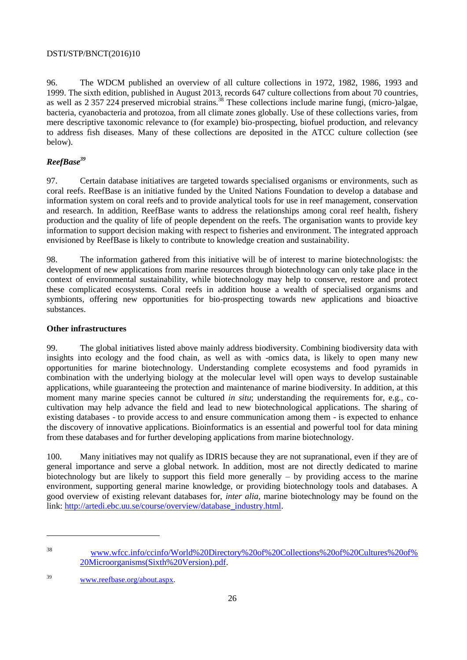96. The WDCM published an overview of all culture collections in 1972, 1982, 1986, 1993 and 1999. The sixth edition, published in August 2013, records 647 culture collections from about 70 countries, as well as 2 357 224 preserved microbial strains.<sup>38</sup> These collections include marine fungi, (micro-)algae, bacteria, cyanobacteria and protozoa, from all climate zones globally. Use of these collections varies, from mere descriptive taxonomic relevance to (for example) bio-prospecting, biofuel production, and relevancy to address fish diseases. Many of these collections are deposited in the ATCC culture collection (see below).

# *ReefBase<sup>39</sup>*

97. Certain database initiatives are targeted towards specialised organisms or environments, such as coral reefs. ReefBase is an initiative funded by the United Nations Foundation to develop a database and information system on coral reefs and to provide analytical tools for use in reef management, conservation and research. In addition, ReefBase wants to address the relationships among coral reef health, fishery production and the quality of life of people dependent on the reefs. The organisation wants to provide key information to support decision making with respect to fisheries and environment. The integrated approach envisioned by ReefBase is likely to contribute to knowledge creation and sustainability.

98. The information gathered from this initiative will be of interest to marine biotechnologists: the development of new applications from marine resources through biotechnology can only take place in the context of environmental sustainability, while biotechnology may help to conserve, restore and protect these complicated ecosystems. Coral reefs in addition house a wealth of specialised organisms and symbionts, offering new opportunities for bio-prospecting towards new applications and bioactive substances.

# <span id="page-25-0"></span>**Other infrastructures**

99. The global initiatives listed above mainly address biodiversity. Combining biodiversity data with insights into ecology and the food chain, as well as with -omics data, is likely to open many new opportunities for marine biotechnology. Understanding complete ecosystems and food pyramids in combination with the underlying biology at the molecular level will open ways to develop sustainable applications, while guaranteeing the protection and maintenance of marine biodiversity. In addition, at this moment many marine species cannot be cultured *in situ*; understanding the requirements for, e.g., cocultivation may help advance the field and lead to new biotechnological applications. The sharing of existing databases - to provide access to and ensure communication among them - is expected to enhance the discovery of innovative applications. Bioinformatics is an essential and powerful tool for data mining from these databases and for further developing applications from marine biotechnology.

100. Many initiatives may not qualify as IDRIS because they are not supranational, even if they are of general importance and serve a global network. In addition, most are not directly dedicated to marine biotechnology but are likely to support this field more generally – by providing access to the marine environment, supporting general marine knowledge, or providing biotechnology tools and databases. A good overview of existing relevant databases for, *inter alia*, marine biotechnology may be found on the link: [http://artedi.ebc.uu.se/course/overview/database\\_industry.html.](http://artedi.ebc.uu.se/course/overview/database_industry.html)

<sup>38</sup> [www.wfcc.info/ccinfo/World%20Directory%20of%20Collections%20of%20Cultures%20of%](http://www.wfcc.info/ccinfo/World%20Directory%20of%20Collections%20of%20Cultures%20of%20Microorganisms(Sixth%20Version).pdf) [20Microorganisms\(Sixth%20Version\).pdf.](http://www.wfcc.info/ccinfo/World%20Directory%20of%20Collections%20of%20Cultures%20of%20Microorganisms(Sixth%20Version).pdf)

<sup>39</sup> [www.reefbase.org/about.aspx.](http://www.reefbase.org/about.aspx)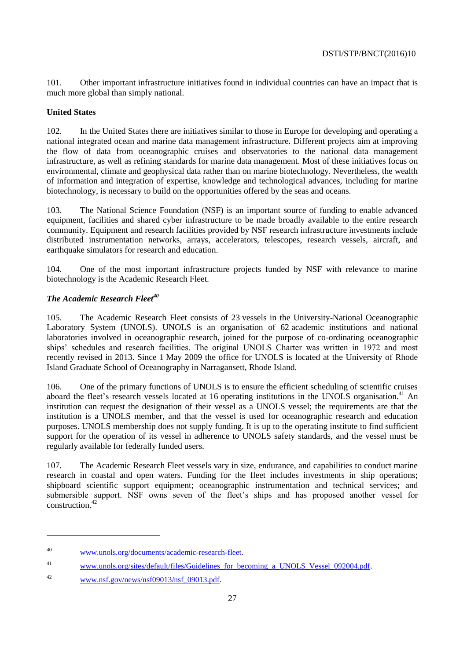101. Other important infrastructure initiatives found in individual countries can have an impact that is much more global than simply national.

# <span id="page-26-0"></span>**United States**

102. In the United States there are initiatives similar to those in Europe for developing and operating a national integrated ocean and marine data management infrastructure. Different projects aim at improving the flow of data from oceanographic cruises and observatories to the national data management infrastructure, as well as refining standards for marine data management. Most of these initiatives focus on environmental, climate and geophysical data rather than on marine biotechnology. Nevertheless, the wealth of information and integration of expertise, knowledge and technological advances, including for marine biotechnology, is necessary to build on the opportunities offered by the seas and oceans.

103. The National Science Foundation (NSF) is an important source of funding to enable advanced equipment, facilities and shared cyber infrastructure to be made broadly available to the entire research community. Equipment and research facilities provided by NSF research infrastructure investments include distributed instrumentation networks, arrays, accelerators, telescopes, research vessels, aircraft, and earthquake simulators for research and education.

104. One of the most important infrastructure projects funded by NSF with relevance to marine biotechnology is the Academic Research Fleet.

# *The Academic Research Fleet<sup>40</sup>*

105. The Academic Research Fleet consists of 23 vessels in the University-National Oceanographic Laboratory System (UNOLS). UNOLS is an organisation of 62 academic institutions and national laboratories involved in oceanographic research, joined for the purpose of co-ordinating oceanographic ships' schedules and research facilities. The original UNOLS Charter was written in 1972 and most recently revised in 2013. Since 1 May 2009 the office for UNOLS is located at the University of Rhode Island Graduate School of Oceanography in Narragansett, Rhode Island.

106. One of the primary functions of UNOLS is to ensure the efficient scheduling of scientific cruises aboard the fleet's research vessels located at 16 operating institutions in the UNOLS organisation.<sup>41</sup> An institution can request the designation of their vessel as a UNOLS vessel; the requirements are that the institution is a UNOLS member, and that the vessel is used for oceanographic research and education purposes. UNOLS membership does not supply funding. It is up to the operating institute to find sufficient support for the operation of its vessel in adherence to UNOLS safety standards, and the vessel must be regularly available for federally funded users.

107. The Academic Research Fleet vessels vary in size, endurance, and capabilities to conduct marine research in coastal and open waters. Funding for the fleet includes investments in ship operations; shipboard scientific support equipment; oceanographic instrumentation and technical services; and submersible support. NSF owns seven of the fleet's ships and has proposed another vessel for construction<sup>42</sup>

<sup>40</sup> [www.unols.org/documents/academic-research-fleet.](http://www.unols.org/documents/academic-research-fleet)

<sup>&</sup>lt;sup>41</sup> www.unols.org/sites/default/files/Guidelines for becoming a UNOLS Vessel 092004.pdf.

<sup>&</sup>lt;sup>42</sup> [www.nsf.gov/news/nsf09013/nsf\\_09013.pdf.](http://www.nsf.gov/news/nsf09013/nsf_09013.pdf)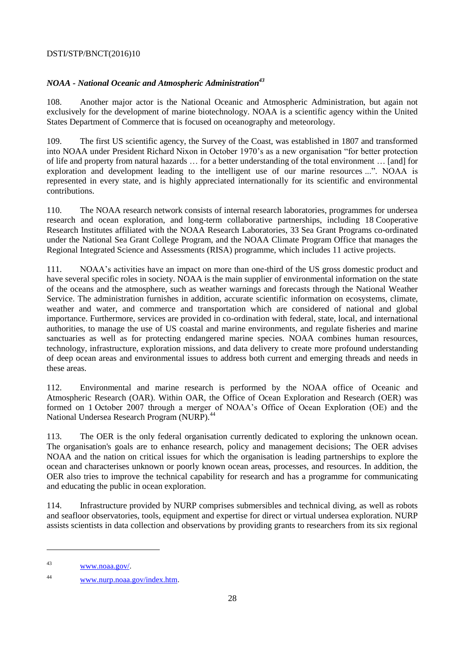# *NOAA - National Oceanic and Atmospheric Administration<sup>43</sup>*

108. Another major actor is the National Oceanic and Atmospheric Administration, but again not exclusively for the development of marine biotechnology. NOAA is a scientific agency within the United States Department of Commerce that is focused on oceanography and meteorology.

109. The first US scientific agency, the Survey of the Coast, was established in 1807 and transformed into NOAA under President Richard Nixon in October 1970's as a new organisation "for better protection of life and property from natural hazards … for a better understanding of the total environment … [and] for exploration and development leading to the intelligent use of our marine resources ...". NOAA is represented in every state, and is highly appreciated internationally for its scientific and environmental contributions.

110. The NOAA research network consists of internal research laboratories, programmes for undersea research and ocean exploration, and long-term collaborative partnerships, including 18 Cooperative Research Institutes affiliated with the NOAA Research Laboratories, 33 Sea Grant Programs co-ordinated under the National Sea Grant College Program, and the NOAA Climate Program Office that manages the Regional Integrated Science and Assessments (RISA) programme, which includes 11 active projects.

111. NOAA's activities have an impact on more than one-third of the US gross domestic product and have several specific roles in society. NOAA is the main supplier of environmental information on the state of the oceans and the atmosphere, such as weather warnings and forecasts through the National Weather Service. The administration furnishes in addition, accurate scientific information on ecosystems, climate, weather and water, and commerce and transportation which are considered of national and global importance. Furthermore, services are provided in co-ordination with federal, state, local, and international authorities, to manage the use of US coastal and marine environments, and regulate fisheries and marine sanctuaries as well as for protecting endangered marine species. NOAA combines human resources, technology, infrastructure, exploration missions, and data delivery to create more profound understanding of deep ocean areas and environmental issues to address both current and emerging threads and needs in these areas.

112. Environmental and marine research is performed by the NOAA office of Oceanic and Atmospheric Research (OAR). Within OAR, the Office of Ocean Exploration and Research (OER) was formed on 1 October 2007 through a merger of NOAA's Office of Ocean Exploration (OE) and the National Undersea Research Program (NURP).<sup>44</sup>

113. The OER is the only federal organisation currently dedicated to exploring the unknown ocean. The organisation's goals are to enhance research, policy and management decisions; The OER advises NOAA and the nation on critical issues for which the organisation is leading partnerships to explore the ocean and characterises unknown or poorly known ocean areas, processes, and resources. In addition, the OER also tries to improve the technical capability for research and has a programme for communicating and educating the public in ocean exploration.

114. Infrastructure provided by NURP comprises submersibles and technical diving, as well as robots and seafloor observatories, tools, equipment and expertise for direct or virtual undersea exploration. NURP assists scientists in data collection and observations by providing grants to researchers from its six regional

<sup>43</sup> [www.noaa.gov/.](http://www.noaa.gov/)

<sup>44</sup> [www.nurp.noaa.gov/index.htm.](http://www.nurp.noaa.gov/index.htm)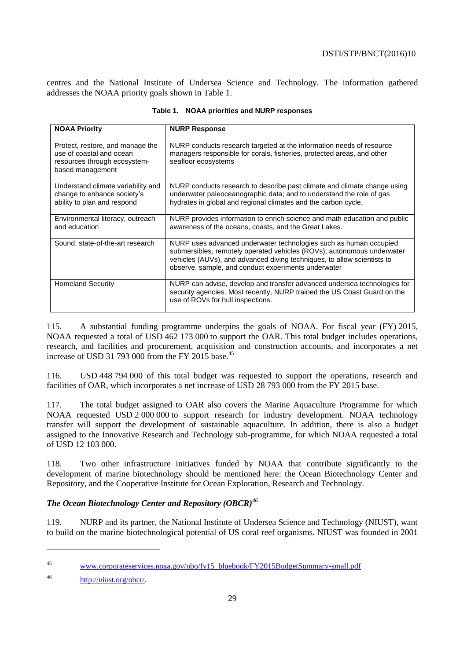centres and the National Institute of Undersea Science and Technology. The information gathered addresses the NOAA priority goals shown in Table 1.

| <b>NOAA Priority</b>                                                                                             | <b>NURP Response</b>                                                                                                                                                                                                                                                          |
|------------------------------------------------------------------------------------------------------------------|-------------------------------------------------------------------------------------------------------------------------------------------------------------------------------------------------------------------------------------------------------------------------------|
| Protect, restore, and manage the<br>use of coastal and ocean<br>resources through ecosystem-<br>based management | NURP conducts research targeted at the information needs of resource<br>managers responsible for corals, fisheries, protected areas, and other<br>seafloor ecosystems                                                                                                         |
| Understand climate variability and<br>change to enhance society's<br>ability to plan and respond                 | NURP conducts research to describe past climate and climate change using<br>underwater paleoceanographic data; and to understand the role of gas<br>hydrates in global and regional climates and the carbon cycle.                                                            |
| Environmental literacy, outreach<br>and education                                                                | NURP provides information to enrich science and math education and public<br>awareness of the oceans, coasts, and the Great Lakes.                                                                                                                                            |
| Sound, state-of-the-art research                                                                                 | NURP uses advanced underwater technologies such as human occupied<br>submersibles, remotely operated vehicles (ROVs), autonomous underwater<br>vehicles (AUVs), and advanced diving techniques, to allow scientists to<br>observe, sample, and conduct experiments underwater |
| <b>Homeland Security</b>                                                                                         | NURP can advise, develop and transfer advanced undersea technologies for<br>security agencies. Most recently, NURP trained the US Coast Guard on the<br>use of ROVs for hull inspections.                                                                                     |

|  |  |  |  |  | Table 1. NOAA priorities and NURP responses |
|--|--|--|--|--|---------------------------------------------|
|--|--|--|--|--|---------------------------------------------|

115. A substantial funding programme underpins the goals of NOAA. For fiscal year (FY) 2015, NOAA requested a total of USD 462 173 000 to support the OAR. This total budget includes operations, research, and facilities and procurement, acquisition and construction accounts, and incorporates a net increase of USD 31 793 000 from the FY 2015 base.<sup>45</sup>

116. USD 448 794 000 of this total budget was requested to support the operations, research and facilities of OAR, which incorporates a net increase of USD 28 793 000 from the FY 2015 base.

117. The total budget assigned to OAR also covers the Marine Aquaculture Programme for which NOAA requested USD 2 000 000 to support research for industry development. NOAA technology transfer will support the development of sustainable aquaculture. In addition, there is also a budget assigned to the Innovative Research and Technology sub-programme, for which NOAA requested a total of USD 12 103 000.

118. Two other infrastructure initiatives funded by NOAA that contribute significantly to the development of marine biotechnology should be mentioned here: the Ocean Biotechnology Center and Repository, and the Cooperative Institute for Ocean Exploration, Research and Technology.

# *The Ocean Biotechnology Center and Repository (OBCR)<sup>46</sup>*

119. NURP and its partner, the National Institute of Undersea Science and Technology (NIUST), want to build on the marine biotechnological potential of US coral reef organisms. NIUST was founded in 2001

<sup>45</sup> [www.corporateservices.noaa.gov/nbo/fy15\\_bluebook/FY2015BudgetSummary-small.pdf](http://www.corporateservices.noaa.gov/nbo/fy15_bluebook/FY2015BudgetSummary-small.pdf)

<sup>46</sup> [http://niust.org/obcr/.](http://niust.org/obcr/)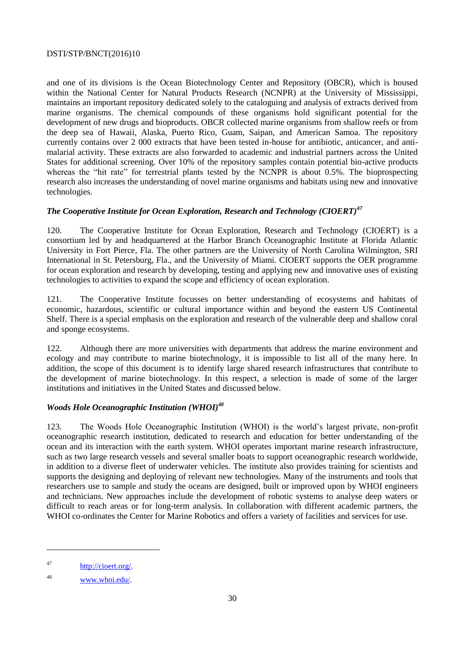and one of its divisions is the Ocean Biotechnology Center and Repository (OBCR), which is housed within the National Center for Natural Products Research (NCNPR) at the University of Mississippi, maintains an important repository dedicated solely to the cataloguing and analysis of extracts derived from marine organisms. The chemical compounds of these organisms hold significant potential for the development of new drugs and bioproducts. OBCR collected marine organisms from shallow reefs or from the deep sea of Hawaii, Alaska, Puerto Rico, Guam, Saipan, and American Samoa. The repository currently contains over 2 000 extracts that have been tested in-house for antibiotic, anticancer, and antimalarial activity. These extracts are also forwarded to academic and industrial partners across the United States for additional screening. Over 10% of the repository samples contain potential bio-active products whereas the "hit rate" for terrestrial plants tested by the NCNPR is about 0.5%. The bioprospecting research also increases the understanding of novel marine organisms and habitats using new and innovative technologies.

# *The Cooperative Institute for Ocean Exploration, Research and Technology (CIOERT)<sup>47</sup>*

120. The Cooperative Institute for Ocean Exploration, Research and Technology (CIOERT) is a consortium led by and headquartered at the Harbor Branch Oceanographic Institute at Florida Atlantic University in Fort Pierce, Fla. The other partners are the University of North Carolina Wilmington, SRI International in St. Petersburg, Fla., and the University of Miami. CIOERT supports the OER programme for ocean exploration and research by developing, testing and applying new and innovative uses of existing technologies to activities to expand the scope and efficiency of ocean exploration.

121. The Cooperative Institute focusses on better understanding of ecosystems and habitats of economic, hazardous, scientific or cultural importance within and beyond the eastern US Continental Shelf. There is a special emphasis on the exploration and research of the vulnerable deep and shallow coral and sponge ecosystems.

122. Although there are more universities with departments that address the marine environment and ecology and may contribute to marine biotechnology, it is impossible to list all of the many here. In addition, the scope of this document is to identify large shared research infrastructures that contribute to the development of marine biotechnology. In this respect, a selection is made of some of the larger institutions and initiatives in the United States and discussed below.

# *Woods Hole Oceanographic Institution (WHOI)<sup>48</sup>*

123. The Woods Hole Oceanographic Institution (WHOI) is the world's largest private, non-profit oceanographic research institution, dedicated to research and education for better understanding of the ocean and its interaction with the earth system. WHOI operates important marine research infrastructure, such as two large research vessels and several smaller boats to support oceanographic research worldwide, in addition to a diverse fleet of underwater vehicles. The institute also provides training for scientists and supports the designing and deploying of relevant new technologies. Many of the instruments and tools that researchers use to sample and study the oceans are designed, built or improved upon by WHOI engineers and technicians. New approaches include the development of robotic systems to analyse deep waters or difficult to reach areas or for long-term analysis. In collaboration with different academic partners, the WHOI co-ordinates the Center for Marine Robotics and offers a variety of facilities and services for use.

<sup>47</sup> [http://cioert.org/.](http://cioert.org/) 

<sup>48</sup> [www.whoi.edu/.](http://www.whoi.edu/)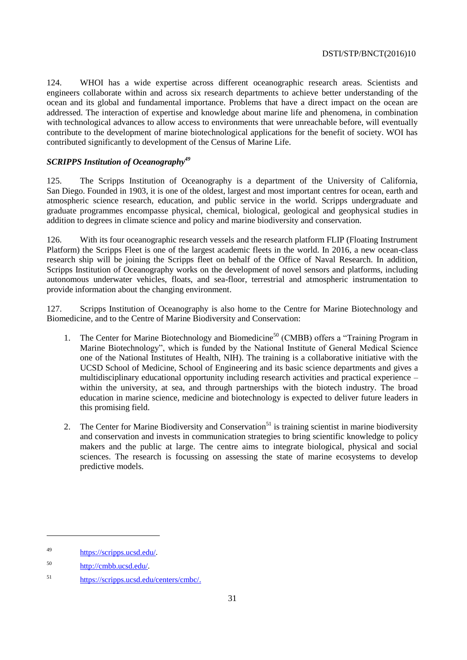124. WHOI has a wide expertise across different oceanographic research areas. Scientists and engineers collaborate within and across six research departments to achieve better understanding of the ocean and its global and fundamental importance. Problems that have a direct impact on the ocean are addressed. The interaction of expertise and knowledge about marine life and phenomena, in combination with technological advances to allow access to environments that were unreachable before, will eventually contribute to the development of marine biotechnological applications for the benefit of society. WOI has contributed significantly to development of the Census of Marine Life.

# *SCRIPPS Institution of Oceanography<sup>49</sup>*

125. The Scripps Institution of Oceanography is a department of the University of California, San Diego. Founded in 1903, it is one of the oldest, largest and most important centres for ocean, earth and atmospheric science research, education, and public service in the world. Scripps undergraduate and graduate programmes encompasse physical, chemical, biological, geological and geophysical studies in addition to degrees in climate science and policy and marine biodiversity and conservation.

126. With its four oceanographic research vessels and the research platform FLIP (Floating Instrument Platform) the Scripps Fleet is one of the largest academic fleets in the world. In 2016, a new ocean-class research ship will be joining the Scripps fleet on behalf of the Office of Naval Research. In addition, Scripps Institution of Oceanography works on the development of novel sensors and platforms, including autonomous underwater vehicles, floats, and sea-floor, terrestrial and atmospheric instrumentation to provide information about the changing environment.

127. Scripps Institution of Oceanography is also home to the Centre for Marine Biotechnology and Biomedicine, and to the Centre of Marine Biodiversity and Conservation:

- 1. The Center for Marine Biotechnology and Biomedicine<sup>50</sup> (CMBB) offers a "Training Program in Marine Biotechnology", which is funded by the National Institute of General Medical Science one of the National Institutes of Health, NIH). The training is a collaborative initiative with the UCSD School of Medicine, School of Engineering and its basic science departments and gives a multidisciplinary educational opportunity including research activities and practical experience – within the university, at sea, and through partnerships with the biotech industry. The broad education in marine science, medicine and biotechnology is expected to deliver future leaders in this promising field.
- 2. The Center for Marine Biodiversity and Conservation<sup>51</sup> is training scientist in marine biodiversity and conservation and invests in communication strategies to bring scientific knowledge to policy makers and the public at large. The centre aims to integrate biological, physical and social sciences. The research is focussing on assessing the state of marine ecosystems to develop predictive models.

<sup>49</sup> [https://scripps.ucsd.edu/.](https://scripps.ucsd.edu/)

<sup>50</sup> [http://cmbb.ucsd.edu/.](http://cmbb.ucsd.edu/)

<sup>51</sup> [https://scripps.ucsd.edu/centers/cmbc/.](https://scripps.ucsd.edu/centers/cmbc/)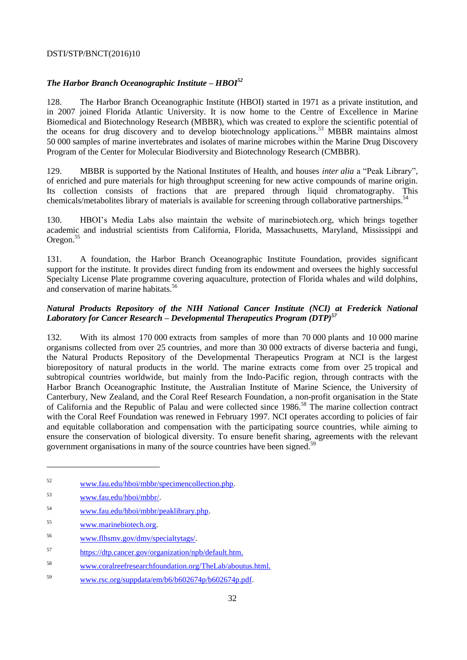# *The Harbor Branch Oceanographic Institute – HBOI<sup>52</sup>*

128. The Harbor Branch Oceanographic Institute (HBOI) started in 1971 as a private institution, and in 2007 joined Florida Atlantic University. It is now home to the Centre of Excellence in Marine Biomedical and Biotechnology Research (MBBR), which was created to explore the scientific potential of the oceans for drug discovery and to develop biotechnology applications.<sup>53</sup> MBBR maintains almost 50 000 samples of marine invertebrates and isolates of marine microbes within the Marine Drug Discovery Program of the Center for Molecular Biodiversity and Biotechnology Research (CMBBR).

129. MBBR is supported by the National Institutes of Health, and houses *inter alia* a "Peak Library", of enriched and pure materials for high throughput screening for new active compounds of marine origin. Its collection consists of fractions that are prepared through liquid chromatography. This chemicals/metabolites library of materials is available for screening through collaborative partnerships.<sup>54</sup>

130. HBOI's Media Labs also maintain the website of marinebiotech.org, which brings together academic and industrial scientists from California, Florida, Massachusetts, Maryland, Mississippi and Oregon.<sup>55</sup>

131. A foundation, the Harbor Branch Oceanographic Institute Foundation, provides significant support for the institute. It provides direct funding from its endowment and oversees the highly successful Specialty License Plate programme covering aquaculture, protection of Florida whales and wild dolphins, and conservation of marine habitats.<sup>56</sup>

# *Natural Products Repository of the NIH National Cancer Institute (NCI) at Frederick National Laboratory for Cancer Research – Developmental Therapeutics Program (DTP)<sup>57</sup>*

132. With its almost 170 000 extracts from samples of more than 70 000 plants and 10 000 marine organisms collected from over 25 countries, and more than 30 000 extracts of diverse bacteria and fungi, the Natural Products Repository of the Developmental Therapeutics Program at NCI is the largest biorepository of natural products in the world. The marine extracts come from over 25 tropical and subtropical countries worldwide, but mainly from the Indo-Pacific region, through contracts with the Harbor Branch Oceanographic Institute, the Australian Institute of Marine Science, the University of Canterbury, New Zealand, and the Coral Reef Research Foundation, a non-profit organisation in the State of California and the Republic of Palau and were collected since 1986.<sup>58</sup> The marine collection contract with the Coral Reef Foundation was renewed in February 1997. NCI operates according to policies of fair and equitable collaboration and compensation with the participating source countries, while aiming to ensure the conservation of biological diversity. To ensure benefit sharing, agreements with the relevant government organisations in many of the source countries have been signed.<sup>59</sup>

- <sup>54</sup> [www.fau.edu/hboi/mbbr/peaklibrary.php.](http://www.fau.edu/hboi/mbbr/peaklibrary.php)
- <sup>55</sup> [www.marinebiotech.org.](http://www.marinebiotech.org/)
- <sup>56</sup> [www.flhsmv.gov/dmv/specialtytags/.](http://www.flhsmv.gov/dmv/specialtytags/)
- <sup>57</sup> [https://dtp.cancer.gov/organization/npb/default.htm.](https://dtp.cancer.gov/organization/npb/default.htm)
- <sup>58</sup> [www.coralreefresearchfoundation.org/TheLab/aboutus.html.](http://www.coralreefresearchfoundation.org/TheLab/aboutus.html)
- <sup>59</sup> [www.rsc.org/suppdata/em/b6/b602674p/b602674p.pdf.](http://www.rsc.org/suppdata/em/b6/b602674p/b602674p.pdf)

<sup>52</sup> [www.fau.edu/hboi/mbbr/specimencollection.php.](http://www.fau.edu/hboi/mbbr/specimencollection.php)

<sup>53</sup> [www.fau.edu/hboi/mbbr/.](http://www.fau.edu/hboi/mbbr/)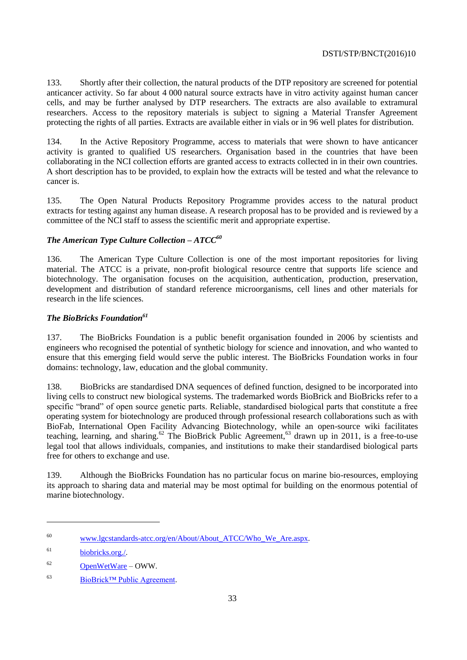133. Shortly after their collection, the natural products of the DTP repository are screened for potential anticancer activity. So far about 4 000 natural source extracts have in vitro activity against human cancer cells, and may be further analysed by DTP researchers. The extracts are also available to extramural researchers. Access to the repository materials is subject to signing a Material Transfer Agreement protecting the rights of all parties. Extracts are available either in vials or in 96 well plates for distribution.

134. In the Active Repository Programme, access to materials that were shown to have anticancer activity is granted to qualified US researchers. Organisation based in the countries that have been collaborating in the NCI collection efforts are granted access to extracts collected in in their own countries. A short description has to be provided, to explain how the extracts will be tested and what the relevance to cancer is.

135. The Open Natural Products Repository Programme provides access to the natural product extracts for testing against any human disease. A research proposal has to be provided and is reviewed by a committee of the NCI staff to assess the scientific merit and appropriate expertise.

# *The American Type Culture Collection – ATCC<sup>60</sup>*

136. The American Type Culture Collection is one of the most important repositories for living material. The ATCC is a private, non-profit biological resource centre that supports life science and biotechnology. The organisation focuses on the acquisition, authentication, production, preservation, development and distribution of standard reference microorganisms, cell lines and other materials for research in the life sciences.

# *The BioBricks Foundation<sup>61</sup>*

137. The BioBricks Foundation is a public benefit organisation founded in 2006 by scientists and engineers who recognised the potential of synthetic biology for science and innovation, and who wanted to ensure that this emerging field would serve the public interest. The BioBricks Foundation works in four domains: technology, law, education and the global community.

138. BioBricks are standardised DNA sequences of defined function, designed to be incorporated into living cells to construct new biological systems. The trademarked words BioBrick and BioBricks refer to a specific "brand" of open source genetic parts. Reliable, standardised biological parts that constitute a free operating system for biotechnology are produced through professional research collaborations such as with BioFab, International Open Facility Advancing Biotechnology, while an open-source wiki facilitates teaching, learning, and sharing.<sup>62</sup> The BioBrick Public Agreement,<sup>63</sup> drawn up in 2011, is a free-to-use legal tool that allows individuals, companies, and institutions to make their standardised biological parts free for others to exchange and use.

139. Although the BioBricks Foundation has no particular focus on marine bio-resources, employing its approach to sharing data and material may be most optimal for building on the enormous potential of marine biotechnology.

<sup>60</sup> [www.lgcstandards-atcc.org/en/About/About\\_ATCC/Who\\_We\\_Are.aspx.](http://www.lgcstandards-atcc.org/en/About/About_ATCC/Who_We_Are.aspx)

<sup>61</sup> [biobricks.org./.](http://biobricks.org/)

 $62$  [OpenWetWare](http://openwetware.org/) – OWW.

<sup>63</sup> [BioBrick™ Public Agreement.](https://biobricks.org/bpa/)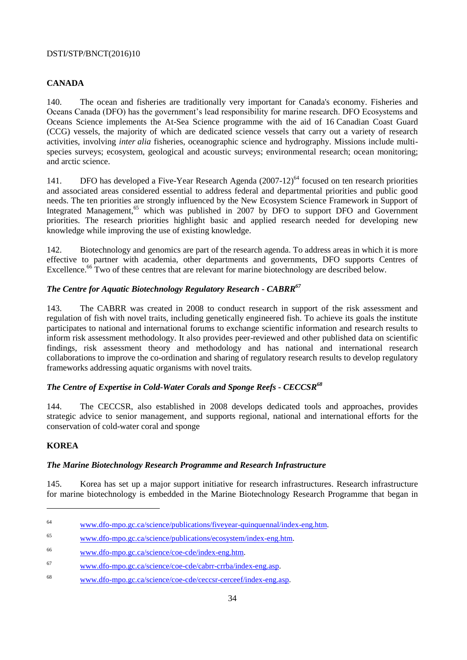# <span id="page-33-0"></span>**CANADA**

140. The ocean and fisheries are traditionally very important for Canada's economy. Fisheries and Oceans Canada (DFO) has the government's lead responsibility for marine research. DFO Ecosystems and Oceans Science implements the At-Sea Science programme with the aid of 16 Canadian Coast Guard (CCG) vessels, the majority of which are dedicated science vessels that carry out a variety of research activities, involving *inter alia* fisheries, oceanographic science and hydrography. Missions include multispecies surveys; ecosystem, geological and acoustic surveys; environmental research; ocean monitoring; and arctic science.

141. DFO has developed a Five-Year Research Agenda (2007-12)<sup>64</sup> focused on ten research priorities and associated areas considered essential to address federal and departmental priorities and public good needs. The ten priorities are strongly influenced by the New Ecosystem Science Framework in Support of Integrated Management,<sup>65</sup> which was published in 2007 by DFO to support DFO and Government priorities. The research priorities highlight basic and applied research needed for developing new knowledge while improving the use of existing knowledge.

142. Biotechnology and genomics are part of the research agenda. To address areas in which it is more effective to partner with academia, other departments and governments, DFO supports Centres of Excellence.<sup>66</sup> Two of these centres that are relevant for marine biotechnology are described below.

# *The Centre for Aquatic Biotechnology Regulatory Research - CABRR<sup>67</sup>*

143. The CABRR was created in 2008 to conduct research in support of the risk assessment and regulation of fish with novel traits, including genetically engineered fish. To achieve its goals the institute participates to national and international forums to exchange scientific information and research results to inform risk assessment methodology. It also provides peer-reviewed and other published data on scientific findings, risk assessment theory and methodology and has national and international research collaborations to improve the co-ordination and sharing of regulatory research results to develop regulatory frameworks addressing aquatic organisms with novel traits.

# *The Centre of Expertise in Cold-Water Corals and Sponge Reefs - CECCSR<sup>68</sup>*

144. The CECCSR, also established in 2008 develops dedicated tools and approaches, provides strategic advice to senior management, and supports regional, national and international efforts for the conservation of cold-water coral and sponge

# <span id="page-33-1"></span>**KOREA**

# *The Marine Biotechnology Research Programme and Research Infrastructure*

145. Korea has set up a major support initiative for research infrastructures. Research infrastructure for marine biotechnology is embedded in the Marine Biotechnology Research Programme that began in

<sup>64</sup> [www.dfo-mpo.gc.ca/science/publications/fiveyear-quinquennal/index-eng.htm.](http://www.dfo-mpo.gc.ca/science/publications/fiveyear-quinquennal/index-eng.htm)

<sup>65</sup> [www.dfo-mpo.gc.ca/science/publications/ecosystem/index-eng.htm.](http://www.dfo-mpo.gc.ca/science/publications/ecosystem/index-eng.htm)

<sup>66</sup> [www.dfo-mpo.gc.ca/science/coe-cde/index-eng.htm.](http://www.dfo-mpo.gc.ca/science/coe-cde/index-eng.htm)

<sup>67</sup> [www.dfo-mpo.gc.ca/science/coe-cde/cabrr-crrba/index-eng.asp.](http://www.dfo-mpo.gc.ca/science/coe-cde/cabrr-crrba/index-eng.asp)

<sup>68</sup> [www.dfo-mpo.gc.ca/science/coe-cde/ceccsr-cerceef/index-eng.asp.](http://www.dfo-mpo.gc.ca/science/coe-cde/ceccsr-cerceef/index-eng.asp)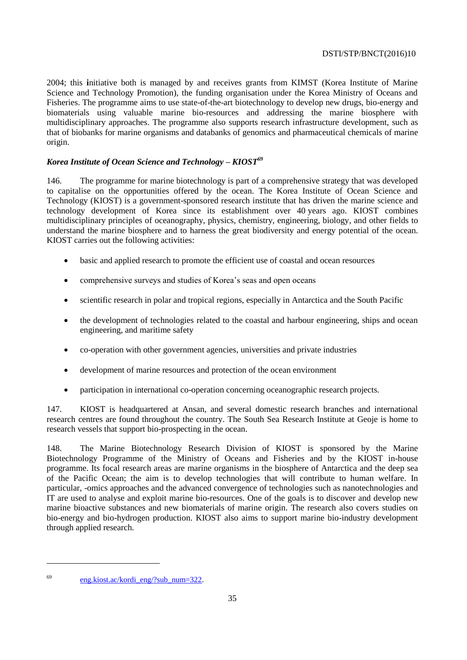2004; this **i**nitiative both is managed by and receives grants from KIMST (Korea Institute of Marine Science and Technology Promotion), the funding organisation under the Korea Ministry of Oceans and Fisheries. The programme aims to use state-of-the-art biotechnology to develop new drugs, bio-energy and biomaterials using valuable marine bio-resources and addressing the marine biosphere with multidisciplinary approaches. The programme also supports research infrastructure development, such as that of biobanks for marine organisms and databanks of genomics and pharmaceutical chemicals of marine origin.

# *Korea Institute of Ocean Science and Technology – KIOST<sup>69</sup>*

146. The programme for marine biotechnology is part of a comprehensive strategy that was developed to capitalise on the opportunities offered by the ocean. The Korea Institute of Ocean Science and Technology (KIOST) is a government-sponsored research institute that has driven the marine science and technology development of Korea since its establishment over 40 years ago. KIOST combines multidisciplinary principles of oceanography, physics, chemistry, engineering, biology, and other fields to understand the marine biosphere and to harness the great biodiversity and energy potential of the ocean. KIOST carries out the following activities:

- basic and applied research to promote the efficient use of coastal and ocean resources
- comprehensive surveys and studies of Korea's seas and open oceans
- scientific research in polar and tropical regions, especially in Antarctica and the South Pacific
- the development of technologies related to the coastal and harbour engineering, ships and ocean engineering, and maritime safety
- co-operation with other government agencies, universities and private industries
- development of marine resources and protection of the ocean environment
- participation in international co-operation concerning oceanographic research projects.

147. KIOST is headquartered at Ansan, and several domestic research branches and international research centres are found throughout the country. The South Sea Research Institute at Geoje is home to research vessels that support bio-prospecting in the ocean.

148. The Marine Biotechnology Research Division of KIOST is sponsored by the Marine Biotechnology Programme of the Ministry of Oceans and Fisheries and by the KIOST in-house programme. Its focal research areas are marine organisms in the biosphere of Antarctica and the deep sea of the Pacific Ocean; the aim is to develop technologies that will contribute to human welfare. In particular, -omics approaches and the advanced convergence of technologies such as nanotechnologies and IT are used to analyse and exploit marine bio-resources. One of the goals is to discover and develop new marine bioactive substances and new biomaterials of marine origin. The research also covers studies on bio-energy and bio-hydrogen production. KIOST also aims to support marine bio-industry development through applied research.

<sup>69</sup> [eng.kiost.ac/kordi\\_eng/?sub\\_num=322.](http://eng.kiost.ac/kordi_eng/?sub_num=322)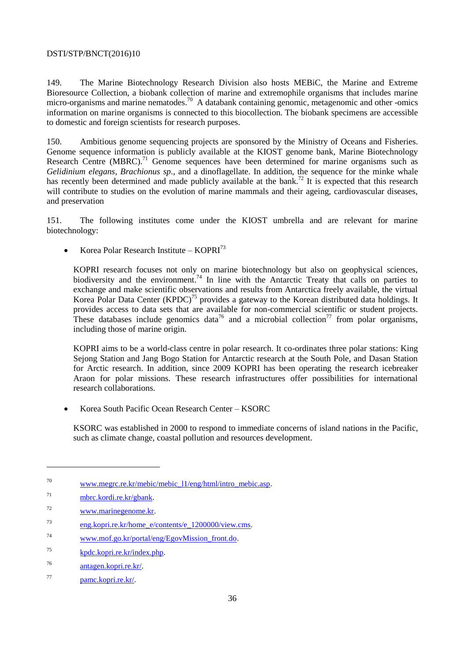149. The Marine Biotechnology Research Division also hosts MEBiC, the Marine and Extreme Bioresource Collection, a biobank collection of marine and extremophile organisms that includes marine micro-organisms and marine nematodes.<sup>70</sup> A databank containing genomic, metagenomic and other -omics information on marine organisms is connected to this biocollection. The biobank specimens are accessible to domestic and foreign scientists for research purposes.

150. Ambitious genome sequencing projects are sponsored by the Ministry of Oceans and Fisheries. Genome sequence information is publicly available at the KIOST genome bank, Marine Biotechnology Research Centre (MBRC).<sup>71</sup> Genome sequences have been determined for marine organisms such as *Gelidinium elegans*, *Brachionus sp*., and a dinoflagellate. In addition, the sequence for the minke whale has recently been determined and made publicly available at the bank.<sup>72</sup> It is expected that this research will contribute to studies on the evolution of marine mammals and their ageing, cardiovascular diseases, and preservation

151. The following institutes come under the KIOST umbrella and are relevant for marine biotechnology:

Korea Polar Research Institute –  $KOPRI<sup>73</sup>$ 

KOPRI research focuses not only on marine biotechnology but also on geophysical sciences, biodiversity and the environment.<sup>74</sup> In line with the Antarctic Treaty that calls on parties to exchange and make scientific observations and results from Antarctica freely available, the virtual Korea Polar Data Center (KPDC)<sup>75</sup> provides a gateway to the Korean distributed data holdings. It provides access to data sets that are available for non-commercial scientific or student projects. These databases include genomics data<sup>76</sup> and a microbial collection<sup>77</sup> from polar organisms, including those of marine origin.

KOPRI aims to be a world-class centre in polar research. It co-ordinates three polar stations: King Sejong Station and Jang Bogo Station for Antarctic research at the South Pole, and Dasan Station for Arctic research. In addition, since 2009 KOPRI has been operating the research icebreaker Araon for polar missions. These research infrastructures offer possibilities for international research collaborations.

Korea South Pacific Ocean Research Center – KSORC

KSORC was established in 2000 to respond to immediate concerns of island nations in the Pacific, such as climate change, coastal pollution and resources development.

<sup>&</sup>lt;sup>70</sup> [www.megrc.re.kr/mebic/mebic\\_l1/eng/html/intro\\_mebic.asp.](http://www.megrc.re.kr/mebic/mebic_l1/eng/html/intro_mebic.asp)

<sup>71</sup> [mbrc.kordi.re.kr/gbank.](http://mbrc.kordi.re.kr/gbank) 

<sup>72</sup> [www.marinegenome.kr.](http://www.marinegenome.kr/) 

<sup>73</sup> [eng.kopri.re.kr/home\\_e/contents/e\\_1200000/view.cms.](http://eng.kopri.re.kr/home_e/contents/e_1200000/view.cms)

<sup>74</sup> [www.mof.go.kr/portal/eng/EgovMission\\_front.do.](http://www.mof.go.kr/portal/eng/EgovMission_front.do)

<sup>75</sup> [kpdc.kopri.re.kr/index.php.](https://kpdc.kopri.re.kr/index.php)

<sup>76</sup> [antagen.kopri.re.kr/.](http://antagen.kopri.re.kr/)

<sup>77</sup> [pamc.kopri.re.kr/.](http://pamc.kopri.re.kr/)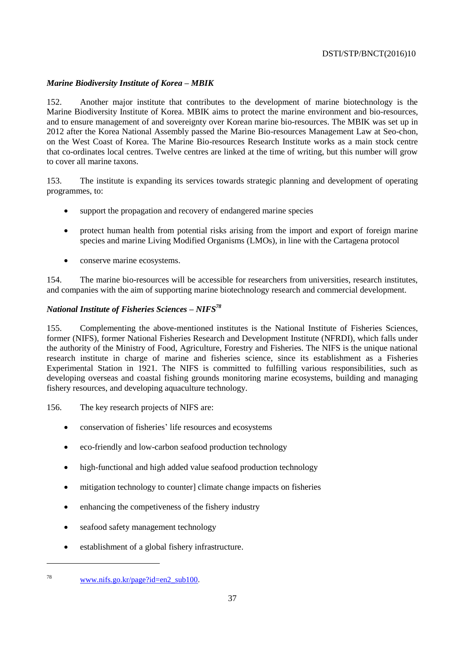# *Marine Biodiversity Institute of Korea – MBIK*

152. Another major institute that contributes to the development of marine biotechnology is the Marine Biodiversity Institute of Korea. MBIK aims to protect the marine environment and bio-resources, and to ensure management of and sovereignty over Korean marine bio-resources. The MBIK was set up in 2012 after the Korea National Assembly passed the Marine Bio-resources Management Law at Seo-chon, on the West Coast of Korea. The Marine Bio-resources Research Institute works as a main stock centre that co-ordinates local centres. Twelve centres are linked at the time of writing, but this number will grow to cover all marine taxons.

153. The institute is expanding its services towards strategic planning and development of operating programmes, to:

- support the propagation and recovery of endangered marine species
- protect human health from potential risks arising from the import and export of foreign marine species and marine Living Modified Organisms (LMOs), in line with the Cartagena protocol
- conserve marine ecosystems.

154. The marine bio-resources will be accessible for researchers from universities, research institutes, and companies with the aim of supporting marine biotechnology research and commercial development.

# *National Institute of Fisheries Sciences – NIFS<sup>78</sup>*

155. Complementing the above-mentioned institutes is the National Institute of Fisheries Sciences, former (NIFS), former National Fisheries Research and Development Institute (NFRDI), which falls under the authority of the Ministry of Food, Agriculture, Forestry and Fisheries. The NIFS is the unique national research institute in charge of marine and fisheries science, since its establishment as a Fisheries Experimental Station in 1921. The NIFS is committed to fulfilling various responsibilities, such as developing overseas and coastal fishing grounds monitoring marine ecosystems, building and managing fishery resources, and developing aquaculture technology.

156. The key research projects of NIFS are:

- conservation of fisheries' life resources and ecosystems
- eco-friendly and low-carbon seafood production technology
- high-functional and high added value seafood production technology
- mitigation technology to counter] climate change impacts on fisheries
- enhancing the competiveness of the fishery industry
- seafood safety management technology
- establishment of a global fishery infrastructure.

<sup>78</sup> [www.nifs.go.kr/page?id=en2\\_sub100.](http://www.nifs.go.kr/page?id=en2_sub100)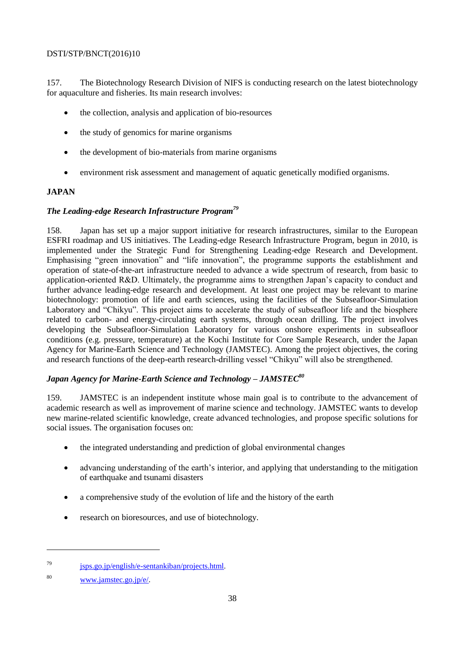157. The Biotechnology Research Division of NIFS is conducting research on the latest biotechnology for aquaculture and fisheries. Its main research involves:

- the collection, analysis and application of bio-resources
- the study of genomics for marine organisms
- the development of bio-materials from marine organisms
- environment risk assessment and management of aquatic genetically modified organisms.

# <span id="page-37-0"></span>**JAPAN**

# *The Leading-edge Research Infrastructure Program<sup>79</sup>*

158. Japan has set up a major support initiative for research infrastructures, similar to the European ESFRI roadmap and US initiatives. The Leading-edge Research Infrastructure Program, begun in 2010, is implemented under the Strategic Fund for Strengthening Leading-edge Research and Development. Emphasising "green innovation" and "life innovation", the programme supports the establishment and operation of state-of-the-art infrastructure needed to advance a wide spectrum of research, from basic to application-oriented R&D. Ultimately, the programme aims to strengthen Japan's capacity to conduct and further advance leading-edge research and development. At least one project may be relevant to marine biotechnology: promotion of life and earth sciences, using the facilities of the Subseafloor-Simulation Laboratory and "Chikyu". This project aims to accelerate the study of subseafloor life and the biosphere related to carbon- and energy-circulating earth systems, through ocean drilling. The project involves developing the Subseafloor-Simulation Laboratory for various onshore experiments in subseafloor conditions (e.g. pressure, temperature) at the Kochi Institute for Core Sample Research, under the Japan Agency for Marine-Earth Science and Technology (JAMSTEC). Among the project objectives, the coring and research functions of the deep-earth research-drilling vessel "Chikyu" will also be strengthened.

# *Japan Agency for Marine-Earth Science and Technology – JAMSTEC<sup>80</sup>*

159. JAMSTEC is an independent institute whose main goal is to contribute to the advancement of academic research as well as improvement of marine science and technology. JAMSTEC wants to develop new marine-related scientific knowledge, create advanced technologies, and propose specific solutions for social issues. The organisation focuses on:

- the integrated understanding and prediction of global environmental changes
- advancing understanding of the earth's interior, and applying that understanding to the mitigation of earthquake and tsunami disasters
- a comprehensive study of the evolution of life and the history of the earth
- research on bioresources, and use of biotechnology.

 $^{79}$  isps.go.jp/english/e-sentankiban/projects.html.

<sup>80</sup> [www.jamstec.go.jp/e/.](http://www.jamstec.go.jp/e/)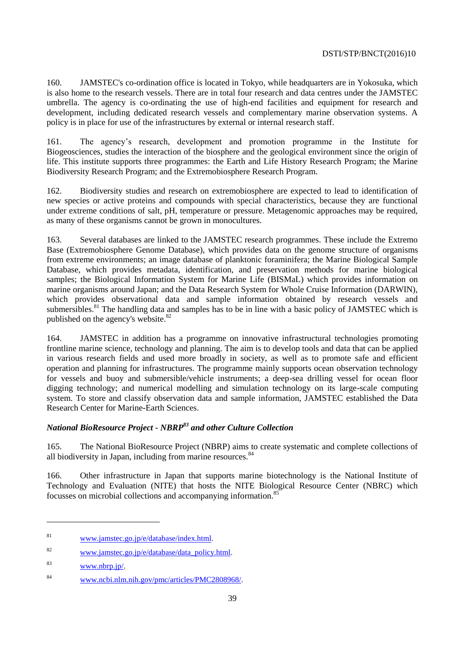160. JAMSTEC's co-ordination office is located in Tokyo, while headquarters are in Yokosuka, which is also home to the research vessels. There are in total four research and data centres under the JAMSTEC umbrella. The agency is co-ordinating the use of high-end facilities and equipment for research and development, including dedicated research vessels and complementary marine observation systems. A policy is in place for use of the infrastructures by external or internal research staff.

161. The agency's research, development and promotion programme in the Institute for Biogeosciences, studies the interaction of the biosphere and the geological environment since the origin of life. This institute supports three programmes: the Earth and Life History Research Program; the Marine Biodiversity Research Program; and the Extremobiosphere Research Program.

162. Biodiversity studies and research on extremobiosphere are expected to lead to identification of new species or active proteins and compounds with special characteristics, because they are functional under extreme conditions of salt, pH, temperature or pressure. Metagenomic approaches may be required, as many of these organisms cannot be grown in monocultures.

163. Several databases are linked to the JAMSTEC research programmes. These include the Extremo Base (Extremobiosphere Genome Database), which provides data on the genome structure of organisms from extreme environments; an image database of planktonic foraminifera; the Marine Biological Sample Database, which provides metadata, identification, and preservation methods for marine biological samples; the Biological Information System for Marine Life (BISMaL) which provides information on marine organisms around Japan; and the Data Research System for Whole Cruise Information (DARWIN), which provides observational data and sample information obtained by research vessels and submersibles.<sup>81</sup> The handling data and samples has to be in line with a basic policy of JAMSTEC which is published on the agency's website.<sup>82</sup>

164. JAMSTEC in addition has a programme on innovative infrastructural technologies promoting frontline marine science, technology and planning. The aim is to develop tools and data that can be applied in various research fields and used more broadly in society, as well as to promote safe and efficient operation and planning for infrastructures. The programme mainly supports ocean observation technology for vessels and buoy and submersible/vehicle instruments; a deep-sea drilling vessel for ocean floor digging technology; and numerical modelling and simulation technology on its large-scale computing system. To store and classify observation data and sample information, JAMSTEC established the Data Research Center for Marine-Earth Sciences.

# *National BioResource Project - NBRP<sup>83</sup> and other Culture Collection*

165. The National BioResource Project (NBRP) aims to create systematic and complete collections of all biodiversity in Japan, including from marine resources.<sup>84</sup>

166. Other infrastructure in Japan that supports marine biotechnology is the National Institute of Technology and Evaluation (NITE) that hosts the NITE Biological Resource Center (NBRC) which focusses on microbial collections and accompanying information.<sup>85</sup>

<sup>81</sup> [www.jamstec.go.jp/e/database/index.html.](http://www.jamstec.go.jp/e/database/index.html)

 $82$  [www.jamstec.go.jp/e/database/data\\_policy.html.](http://www.jamstec.go.jp/e/database/data_policy.html)

<sup>83</sup> [www.nbrp.jp/.](http://www.nbrp.jp/)

<sup>84</sup> [www.ncbi.nlm.nih.gov/pmc/articles/PMC2808968/.](http://www.ncbi.nlm.nih.gov/pmc/articles/PMC2808968/)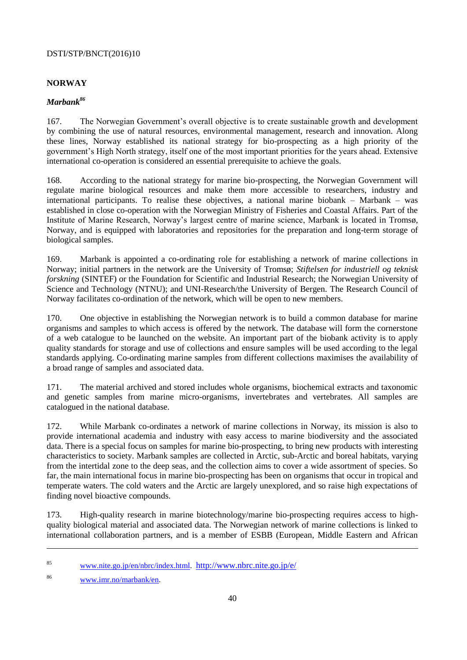# <span id="page-39-0"></span>**NORWAY**

# *Marbank<sup>86</sup>*

167. The Norwegian Government's overall objective is to create sustainable growth and development by combining the use of natural resources, environmental management, research and innovation. Along these lines, Norway established its national strategy for bio-prospecting as a high priority of the government's High North strategy, itself one of the most important priorities for the years ahead. Extensive international co-operation is considered an essential prerequisite to achieve the goals.

168. According to the national strategy for marine bio-prospecting, the Norwegian Government will regulate marine biological resources and make them more accessible to researchers, industry and international participants. To realise these objectives, a national marine biobank – Marbank – was established in close co-operation with the Norwegian Ministry of Fisheries and Coastal Affairs. Part of the Institute of Marine Research, Norway's largest centre of marine science, Marbank is located in Tromsø, Norway, and is equipped with laboratories and repositories for the preparation and long-term storage of biological samples.

169. Marbank is appointed a co-ordinating role for establishing a network of marine collections in Norway; initial partners in the network are the University of Tromsø; *Stiftelsen for industriell og teknisk forskning* (SINTEF) or the Foundation for Scientific and Industrial Research; the Norwegian University of [Science and Technology](http://www.ntnu.no/) (NTNU); and UNI-Research/the University of Bergen. The Research Council of Norway facilitates co-ordination of the network, which will be open to new members.

170. One objective in establishing the Norwegian network is to build a common database for marine organisms and samples to which access is offered by the network. The database will form the cornerstone of a web catalogue to be launched on the website. An important part of the biobank activity is to apply quality standards for storage and use of collections and ensure samples will be used according to the legal standards applying. Co-ordinating marine samples from different collections maximises the availability of a broad range of samples and associated data.

171. The material archived and stored includes whole organisms, biochemical extracts and taxonomic and genetic samples from marine micro-organisms, invertebrates and vertebrates. All samples are catalogued in the national database.

172. While Marbank co-ordinates a network of marine collections in Norway, its mission is also to provide international academia and industry with easy access to marine biodiversity and the associated data. There is a special focus on samples for marine bio-prospecting, to bring new products with interesting characteristics to society. Marbank samples are collected in Arctic, sub-Arctic and boreal habitats, varying from the intertidal zone to the deep seas, and the collection aims to cover a wide assortment of species. So far, the main international focus in marine bio-prospecting has been on organisms that occur in tropical and temperate waters. The cold waters and the Arctic are largely unexplored, and so raise high expectations of finding novel bioactive compounds.

173. High-quality research in marine biotechnology/marine bio-prospecting requires access to highquality biological material and associated data. The Norwegian network of marine collections is linked to international collaboration partners, and is a member of ESBB (European, Middle Eastern and African

<sup>&</sup>lt;sup>85</sup> [www.nite.go.jp/en/nbrc/index.html.](http://www.nite.go.jp/en/nbrc/index.html) <http://www.nbrc.nite.go.jp/e/>

<sup>86</sup> [www.imr.no/marbank/en.](http://www.imr.no/marbank/en)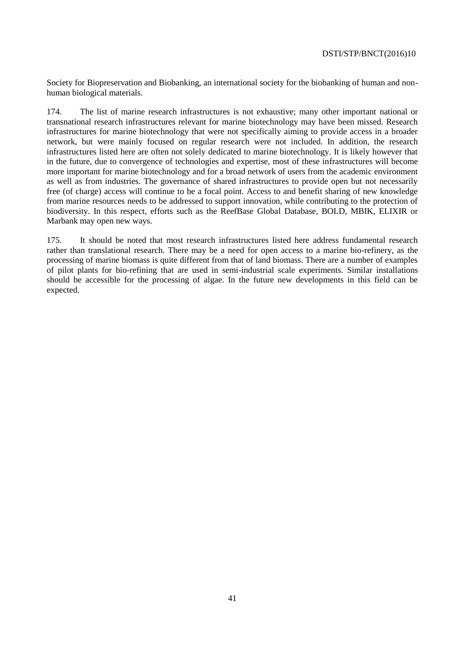Society for Biopreservation and Biobanking, an international society for the biobanking of human and nonhuman biological materials.

174. The list of marine research infrastructures is not exhaustive; many other important national or transnational research infrastructures relevant for marine biotechnology may have been missed. Research infrastructures for marine biotechnology that were not specifically aiming to provide access in a broader network, but were mainly focused on regular research were not included. In addition, the research infrastructures listed here are often not solely dedicated to marine biotechnology. It is likely however that in the future, due to convergence of technologies and expertise, most of these infrastructures will become more important for marine biotechnology and for a broad network of users from the academic environment as well as from industries. The governance of shared infrastructures to provide open but not necessarily free (of charge) access will continue to be a focal point. Access to and benefit sharing of new knowledge from marine resources needs to be addressed to support innovation, while contributing to the protection of biodiversity. In this respect, efforts such as the ReefBase Global Database, BOLD, MBIK, ELIXIR or Marbank may open new ways.

175. It should be noted that most research infrastructures listed here address fundamental research rather than translational research. There may be a need for open access to a marine bio-refinery, as the processing of marine biomass is quite different from that of land biomass. There are a number of examples of pilot plants for bio-refining that are used in semi-industrial scale experiments. Similar installations should be accessible for the processing of algae. In the future new developments in this field can be expected.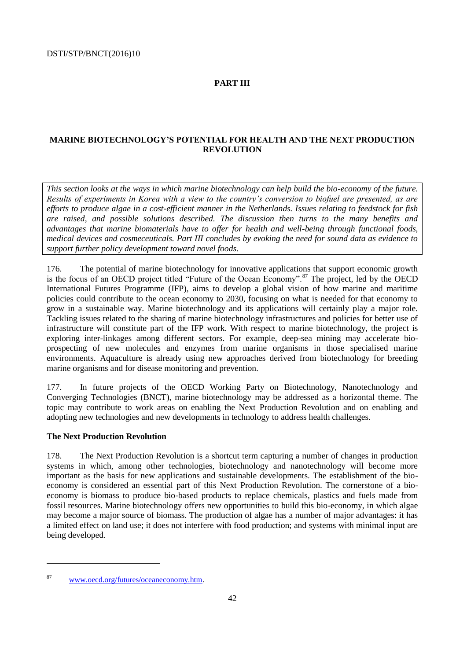# <span id="page-41-0"></span>**PART III**

# **MARINE BIOTECHNOLOGY'S POTENTIAL FOR HEALTH AND THE NEXT PRODUCTION REVOLUTION**

*This section looks at the ways in which marine biotechnology can help build the bio-economy of the future. Results of experiments in Korea with a view to the country's conversion to biofuel are presented, as are efforts to produce algae in a cost-efficient manner in the Netherlands. Issues relating to feedstock for fish are raised, and possible solutions described. The discussion then turns to the many benefits and advantages that marine biomaterials have to offer for health and well-being through functional foods, medical devices and cosmeceuticals. Part III concludes by evoking the need for sound data as evidence to support further policy development toward novel foods.* 

176. The potential of marine biotechnology for innovative applications that support economic growth is the focus of an OECD project titled "Future of the Ocean Economy".<sup>87</sup> The project, led by the OECD International Futures Programme (IFP), aims to develop a global vision of how marine and maritime policies could contribute to the ocean economy to 2030, focusing on what is needed for that economy to grow in a sustainable way. Marine biotechnology and its applications will certainly play a major role. Tackling issues related to the sharing of marine biotechnology infrastructures and policies for better use of infrastructure will constitute part of the IFP work. With respect to marine biotechnology, the project is exploring inter-linkages among different sectors. For example, deep-sea mining may accelerate bioprospecting of new molecules and enzymes from marine organisms in those specialised marine environments. Aquaculture is already using new approaches derived from biotechnology for breeding marine organisms and for disease monitoring and prevention.

177. In future projects of the OECD Working Party on Biotechnology, Nanotechnology and Converging Technologies (BNCT), marine biotechnology may be addressed as a horizontal theme. The topic may contribute to work areas on enabling the Next Production Revolution and on enabling and adopting new technologies and new developments in technology to address health challenges.

# <span id="page-41-1"></span>**The Next Production Revolution**

178. The Next Production Revolution is a shortcut term capturing a number of changes in production systems in which, among other technologies, biotechnology and nanotechnology will become more important as the basis for new applications and sustainable developments. The establishment of the bioeconomy is considered an essential part of this Next Production Revolution. The cornerstone of a bioeconomy is biomass to produce bio-based products to replace chemicals, plastics and fuels made from fossil resources. Marine biotechnology offers new opportunities to build this bio-economy, in which algae may become a major source of biomass. The production of algae has a number of major advantages: it has a limited effect on land use; it does not interfere with food production; and systems with minimal input are being developed.

<sup>87</sup> [www.oecd.org/futures/oceaneconomy.htm.](http://www.oecd.org/futures/oceaneconomy.htm)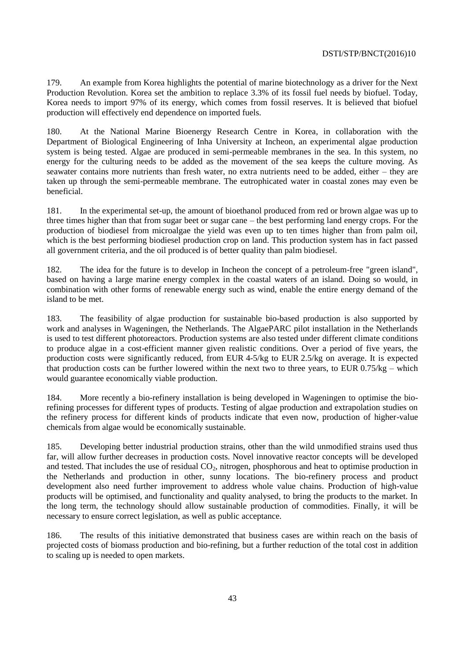179. An example from Korea highlights the potential of marine biotechnology as a driver for the Next Production Revolution. Korea set the ambition to replace 3.3% of its fossil fuel needs by biofuel. Today, Korea needs to import 97% of its energy, which comes from fossil reserves. It is believed that biofuel production will effectively end dependence on imported fuels.

180. At the National Marine Bioenergy Research Centre in Korea, in collaboration with the Department of Biological Engineering of Inha University at Incheon, an experimental algae production system is being tested. Algae are produced in semi-permeable membranes in the sea. In this system, no energy for the culturing needs to be added as the movement of the sea keeps the culture moving. As seawater contains more nutrients than fresh water, no extra nutrients need to be added, either – they are taken up through the semi-permeable membrane. The eutrophicated water in coastal zones may even be beneficial.

181. In the experimental set-up, the amount of bioethanol produced from red or brown algae was up to three times higher than that from sugar beet or sugar cane – the best performing land energy crops. For the production of biodiesel from microalgae the yield was even up to ten times higher than from palm oil, which is the best performing biodiesel production crop on land. This production system has in fact passed all government criteria, and the oil produced is of better quality than palm biodiesel.

182. The idea for the future is to develop in Incheon the concept of a petroleum-free "green island", based on having a large marine energy complex in the coastal waters of an island. Doing so would, in combination with other forms of renewable energy such as wind, enable the entire energy demand of the island to be met.

183. The feasibility of algae production for sustainable bio-based production is also supported by work and analyses in Wageningen, the Netherlands. The AlgaePARC pilot installation in the Netherlands is used to test different photoreactors. Production systems are also tested under different climate conditions to produce algae in a cost-efficient manner given realistic conditions. Over a period of five years, the production costs were significantly reduced, from EUR 4-5/kg to EUR 2.5/kg on average. It is expected that production costs can be further lowered within the next two to three years, to EUR 0.75/kg – which would guarantee economically viable production.

184. More recently a bio-refinery installation is being developed in Wageningen to optimise the biorefining processes for different types of products. Testing of algae production and extrapolation studies on the refinery process for different kinds of products indicate that even now, production of higher-value chemicals from algae would be economically sustainable.

185. Developing better industrial production strains, other than the wild unmodified strains used thus far, will allow further decreases in production costs. Novel innovative reactor concepts will be developed and tested. That includes the use of residual  $CO<sub>2</sub>$ , nitrogen, phosphorous and heat to optimise production in the Netherlands and production in other, sunny locations. The bio-refinery process and product development also need further improvement to address whole value chains. Production of high-value products will be optimised, and functionality and quality analysed, to bring the products to the market. In the long term, the technology should allow sustainable production of commodities. Finally, it will be necessary to ensure correct legislation, as well as public acceptance.

186. The results of this initiative demonstrated that business cases are within reach on the basis of projected costs of biomass production and bio-refining, but a further reduction of the total cost in addition to scaling up is needed to open markets.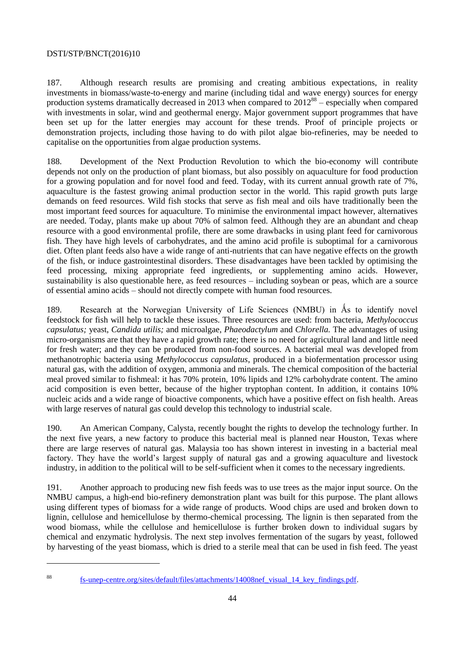187. Although research results are promising and creating ambitious expectations, in reality investments in biomass/waste-to-energy and marine (including tidal and wave energy) sources for energy production systems dramatically decreased in 2013 when compared to  $2012^{88}$  – especially when compared with investments in solar, wind and geothermal energy. Major government support programmes that have been set up for the latter energies may account for these trends. Proof of principle projects or demonstration projects, including those having to do with pilot algae bio-refineries, may be needed to capitalise on the opportunities from algae production systems.

188. Development of the Next Production Revolution to which the bio-economy will contribute depends not only on the production of plant biomass, but also possibly on aquaculture for food production for a growing population and for novel food and feed. Today, with its current annual growth rate of 7%, aquaculture is the fastest growing animal production sector in the world. This rapid growth puts large demands on feed resources. Wild fish stocks that serve as fish meal and oils have traditionally been the most important feed sources for aquaculture. To minimise the environmental impact however, alternatives are needed. Today, plants make up about 70% of salmon feed. Although they are an abundant and cheap resource with a good environmental profile, there are some drawbacks in using plant feed for carnivorous fish. They have high levels of carbohydrates, and the amino acid profile is suboptimal for a carnivorous diet. Often plant feeds also have a wide range of anti-nutrients that can have negative effects on the growth of the fish, or induce gastrointestinal disorders. These disadvantages have been tackled by optimising the feed processing, mixing appropriate feed ingredients, or supplementing amino acids. However, sustainability is also questionable here, as feed resources – including soybean or peas, which are a source of essential amino acids – should not directly compete with human food resources.

189. Research at the Norwegian University of Life Sciences (NMBU) in Ås to identify novel feedstock for fish will help to tackle these issues. Three resources are used: from bacteria, *Methylococcus capsulatus;* yeast, *Candida utilis;* and microalgae, *Phaeodactylum* and *Chlorella.* The advantages of using micro-organisms are that they have a rapid growth rate; there is no need for agricultural land and little need for fresh water; and they can be produced from non-food sources. A bacterial meal was developed from methanotrophic bacteria using *Methylococcus capsulatus*, produced in a biofermentation processor using natural gas, with the addition of oxygen, ammonia and minerals. The chemical composition of the bacterial meal proved similar to fishmeal: it has 70% protein, 10% lipids and 12% carbohydrate content. The amino acid composition is even better, because of the higher tryptophan content. In addition, it contains 10% nucleic acids and a wide range of bioactive components, which have a positive effect on fish health. Areas with large reserves of natural gas could develop this technology to industrial scale.

190. An American Company, Calysta, recently bought the rights to develop the technology further. In the next five years, a new factory to produce this bacterial meal is planned near Houston, Texas where there are large reserves of natural gas. Malaysia too has shown interest in investing in a bacterial meal factory. They have the world's largest supply of natural gas and a growing aquaculture and livestock industry, in addition to the political will to be self-sufficient when it comes to the necessary ingredients.

191. Another approach to producing new fish feeds was to use trees as the major input source. On the NMBU campus, a high-end bio-refinery demonstration plant was built for this purpose. The plant allows using different types of biomass for a wide range of products. Wood chips are used and broken down to lignin, cellulose and hemicellulose by thermo-chemical processing. The lignin is then separated from the wood biomass, while the cellulose and hemicellulose is further broken down to individual sugars by chemical and enzymatic hydrolysis. The next step involves fermentation of the sugars by yeast, followed by harvesting of the yeast biomass, which is dried to a sterile meal that can be used in fish feed. The yeast

 $\overline{a}$ 

<sup>88</sup> [fs-unep-centre.org/sites/default/files/attachments/14008nef\\_visual\\_14\\_key\\_findings.pdf.](http://fs-unep-centre.org/sites/default/files/attachments/14008nef_visual_14_key_findings.pdf)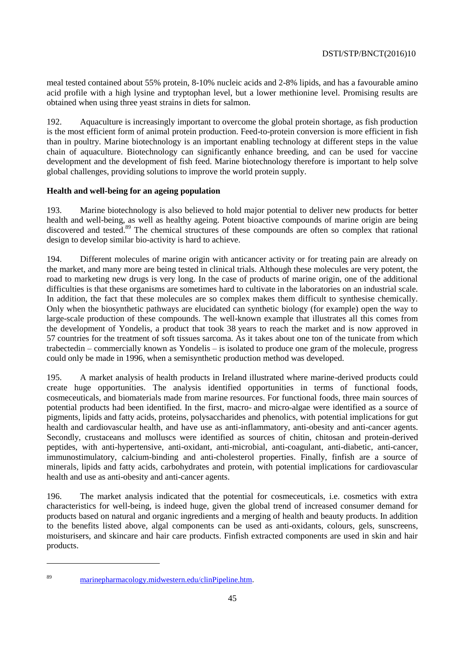meal tested contained about 55% protein, 8-10% nucleic acids and 2-8% lipids, and has a favourable amino acid profile with a high lysine and tryptophan level, but a lower methionine level. Promising results are obtained when using three yeast strains in diets for salmon.

192. Aquaculture is increasingly important to overcome the global protein shortage, as fish production is the most efficient form of animal protein production. Feed-to-protein conversion is more efficient in fish than in poultry. Marine biotechnology is an important enabling technology at different steps in the value chain of aquaculture. Biotechnology can significantly enhance breeding, and can be used for vaccine development and the development of fish feed. Marine biotechnology therefore is important to help solve global challenges, providing solutions to improve the world protein supply.

# <span id="page-44-0"></span>**Health and well-being for an ageing population**

193. Marine biotechnology is also believed to hold major potential to deliver new products for better health and well-being, as well as healthy ageing. Potent bioactive compounds of marine origin are being discovered and tested.<sup>89</sup> The chemical structures of these compounds are often so complex that rational design to develop similar bio-activity is hard to achieve.

194. Different molecules of marine origin with anticancer activity or for treating pain are already on the market, and many more are being tested in clinical trials. Although these molecules are very potent, the road to marketing new drugs is very long. In the case of products of marine origin, one of the additional difficulties is that these organisms are sometimes hard to cultivate in the laboratories on an industrial scale. In addition, the fact that these molecules are so complex makes them difficult to synthesise chemically. Only when the biosynthetic pathways are elucidated can synthetic biology (for example) open the way to large-scale production of these compounds. The well-known example that illustrates all this comes from the development of Yondelis, a product that took 38 years to reach the market and is now approved in 57 countries for the treatment of soft tissues sarcoma. As it takes about one ton of the tunicate from which trabectedin – commercially known as Yondelis – is isolated to produce one gram of the molecule, progress could only be made in 1996, when a semisynthetic production method was developed.

195. A market analysis of health products in Ireland illustrated where marine-derived products could create huge opportunities. The analysis identified opportunities in terms of functional foods, cosmeceuticals, and biomaterials made from marine resources. For functional foods, three main sources of potential products had been identified. In the first, macro- and micro-algae were identified as a source of pigments, lipids and fatty acids, proteins, polysaccharides and phenolics, with potential implications for gut health and cardiovascular health, and have use as anti-inflammatory, anti-obesity and anti-cancer agents. Secondly, crustaceans and molluscs were identified as sources of chitin, chitosan and protein-derived peptides, with anti-hypertensive, anti-oxidant, anti-microbial, anti-coagulant, anti-diabetic, anti-cancer, immunostimulatory, calcium-binding and anti-cholesterol properties. Finally, finfish are a source of minerals, lipids and fatty acids, carbohydrates and protein, with potential implications for cardiovascular health and use as anti-obesity and anti-cancer agents.

196. The market analysis indicated that the potential for cosmeceuticals, i.e. cosmetics with extra characteristics for well-being, is indeed huge, given the global trend of increased consumer demand for products based on natural and organic ingredients and a merging of health and beauty products. In addition to the benefits listed above, algal components can be used as anti-oxidants, colours, gels, sunscreens, moisturisers, and skincare and hair care products. Finfish extracted components are used in skin and hair products.

 $\overline{a}$ 

<sup>89</sup> [marinepharmacology.midwestern.edu/clinPipeline.htm.](http://marinepharmacology.midwestern.edu/clinPipeline.htm)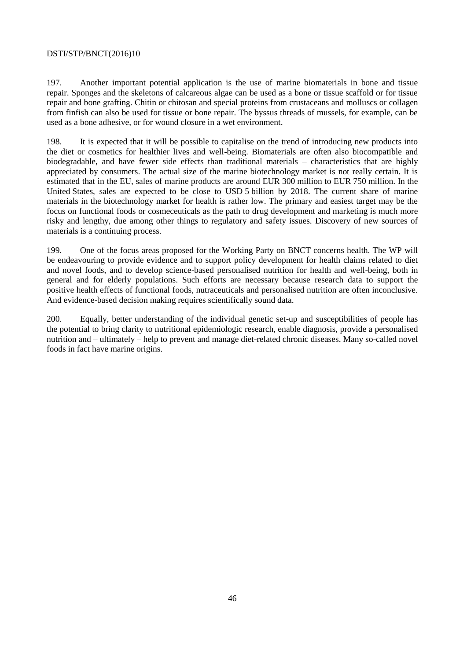197. Another important potential application is the use of marine biomaterials in bone and tissue repair. Sponges and the skeletons of calcareous algae can be used as a bone or tissue scaffold or for tissue repair and bone grafting. Chitin or chitosan and special proteins from crustaceans and molluscs or collagen from finfish can also be used for tissue or bone repair. The byssus threads of mussels, for example, can be used as a bone adhesive, or for wound closure in a wet environment.

198. It is expected that it will be possible to capitalise on the trend of introducing new products into the diet or cosmetics for healthier lives and well-being. Biomaterials are often also biocompatible and biodegradable, and have fewer side effects than traditional materials – characteristics that are highly appreciated by consumers. The actual size of the marine biotechnology market is not really certain. It is estimated that in the EU, sales of marine products are around EUR 300 million to EUR 750 million. In the United States, sales are expected to be close to USD 5 billion by 2018. The current share of marine materials in the biotechnology market for health is rather low. The primary and easiest target may be the focus on functional foods or cosmeceuticals as the path to drug development and marketing is much more risky and lengthy, due among other things to regulatory and safety issues. Discovery of new sources of materials is a continuing process.

199. One of the focus areas proposed for the Working Party on BNCT concerns health. The WP will be endeavouring to provide evidence and to support policy development for health claims related to diet and novel foods, and to develop science-based personalised nutrition for health and well-being, both in general and for elderly populations. Such efforts are necessary because research data to support the positive health effects of functional foods, nutraceuticals and personalised nutrition are often inconclusive. And evidence-based decision making requires scientifically sound data.

200. Equally, better understanding of the individual genetic set-up and susceptibilities of people has the potential to bring clarity to nutritional epidemiologic research, enable diagnosis, provide a personalised nutrition and – ultimately – help to prevent and manage diet-related chronic diseases. Many so-called novel foods in fact have marine origins.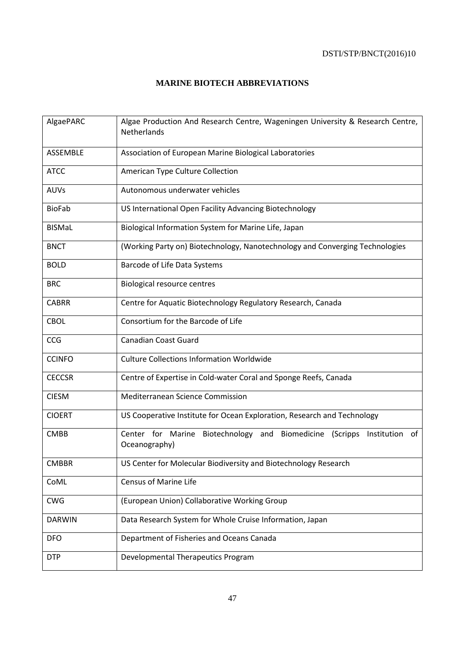# <span id="page-46-0"></span>**MARINE BIOTECH ABBREVIATIONS**

| AlgaePARC     | Algae Production And Research Centre, Wageningen University & Research Centre,<br>Netherlands  |
|---------------|------------------------------------------------------------------------------------------------|
| ASSEMBLE      | Association of European Marine Biological Laboratories                                         |
| <b>ATCC</b>   | American Type Culture Collection                                                               |
| <b>AUVs</b>   | Autonomous underwater vehicles                                                                 |
| <b>BioFab</b> | US International Open Facility Advancing Biotechnology                                         |
| <b>BISMaL</b> | Biological Information System for Marine Life, Japan                                           |
| <b>BNCT</b>   | (Working Party on) Biotechnology, Nanotechnology and Converging Technologies                   |
| <b>BOLD</b>   | Barcode of Life Data Systems                                                                   |
| <b>BRC</b>    | <b>Biological resource centres</b>                                                             |
| <b>CABRR</b>  | Centre for Aquatic Biotechnology Regulatory Research, Canada                                   |
| <b>CBOL</b>   | Consortium for the Barcode of Life                                                             |
| CCG           | <b>Canadian Coast Guard</b>                                                                    |
| <b>CCINFO</b> | <b>Culture Collections Information Worldwide</b>                                               |
| <b>CECCSR</b> | Centre of Expertise in Cold-water Coral and Sponge Reefs, Canada                               |
| <b>CIESM</b>  | Mediterranean Science Commission                                                               |
| <b>CIOERT</b> | US Cooperative Institute for Ocean Exploration, Research and Technology                        |
| <b>CMBB</b>   | Center for Marine Biotechnology and Biomedicine (Scripps<br>Institution<br>of<br>Oceanography) |
| <b>CMBBR</b>  | US Center for Molecular Biodiversity and Biotechnology Research                                |
| CoML          | Census of Marine Life                                                                          |
| <b>CWG</b>    | (European Union) Collaborative Working Group                                                   |
| <b>DARWIN</b> | Data Research System for Whole Cruise Information, Japan                                       |
| <b>DFO</b>    | Department of Fisheries and Oceans Canada                                                      |
| <b>DTP</b>    | Developmental Therapeutics Program                                                             |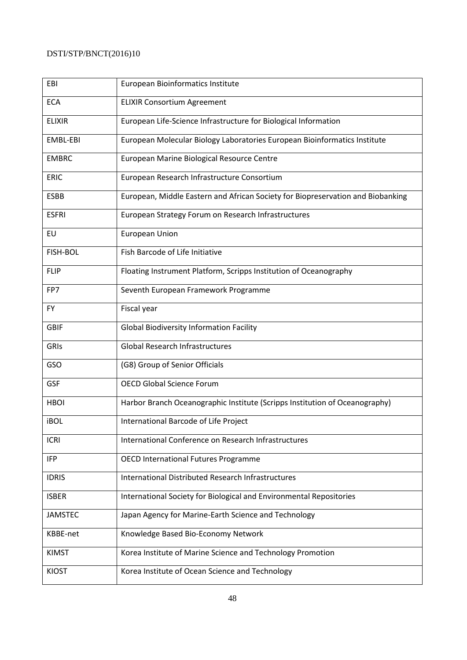| EBI            | European Bioinformatics Institute                                               |
|----------------|---------------------------------------------------------------------------------|
| <b>ECA</b>     | <b>ELIXIR Consortium Agreement</b>                                              |
| <b>ELIXIR</b>  | European Life-Science Infrastructure for Biological Information                 |
| EMBL-EBI       | European Molecular Biology Laboratories European Bioinformatics Institute       |
| <b>EMBRC</b>   | European Marine Biological Resource Centre                                      |
| <b>ERIC</b>    | European Research Infrastructure Consortium                                     |
| <b>ESBB</b>    | European, Middle Eastern and African Society for Biopreservation and Biobanking |
| <b>ESFRI</b>   | European Strategy Forum on Research Infrastructures                             |
| EU             | <b>European Union</b>                                                           |
| FISH-BOL       | Fish Barcode of Life Initiative                                                 |
| <b>FLIP</b>    | Floating Instrument Platform, Scripps Institution of Oceanography               |
| FP7            | Seventh European Framework Programme                                            |
| <b>FY</b>      | Fiscal year                                                                     |
| <b>GBIF</b>    | <b>Global Biodiversity Information Facility</b>                                 |
| GRIS           | <b>Global Research Infrastructures</b>                                          |
| GSO            | (G8) Group of Senior Officials                                                  |
| <b>GSF</b>     | <b>OECD Global Science Forum</b>                                                |
| <b>HBOI</b>    | Harbor Branch Oceanographic Institute (Scripps Institution of Oceanography)     |
| <b>iBOL</b>    | International Barcode of Life Project                                           |
| <b>ICRI</b>    | International Conference on Research Infrastructures                            |
| <b>IFP</b>     | <b>OECD International Futures Programme</b>                                     |
| <b>IDRIS</b>   | International Distributed Research Infrastructures                              |
| <b>ISBER</b>   | International Society for Biological and Environmental Repositories             |
| <b>JAMSTEC</b> | Japan Agency for Marine-Earth Science and Technology                            |
| KBBE-net       | Knowledge Based Bio-Economy Network                                             |
| <b>KIMST</b>   | Korea Institute of Marine Science and Technology Promotion                      |
| <b>KIOST</b>   | Korea Institute of Ocean Science and Technology                                 |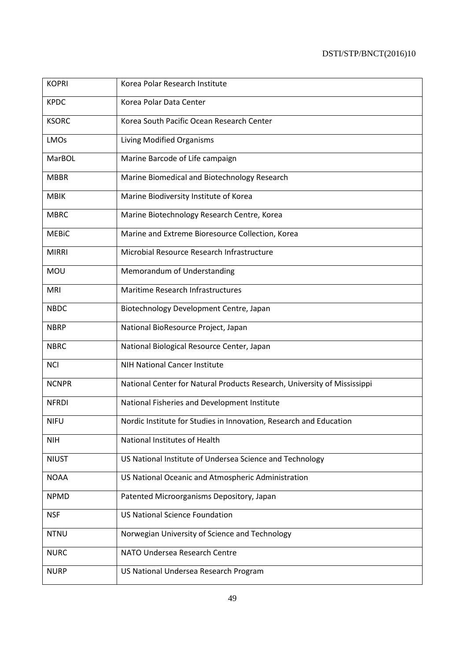| <b>KOPRI</b> | Korea Polar Research Institute                                           |
|--------------|--------------------------------------------------------------------------|
| <b>KPDC</b>  | Korea Polar Data Center                                                  |
| <b>KSORC</b> | Korea South Pacific Ocean Research Center                                |
| <b>LMOs</b>  | Living Modified Organisms                                                |
| MarBOL       | Marine Barcode of Life campaign                                          |
| <b>MBBR</b>  | Marine Biomedical and Biotechnology Research                             |
| <b>MBIK</b>  | Marine Biodiversity Institute of Korea                                   |
| <b>MBRC</b>  | Marine Biotechnology Research Centre, Korea                              |
| <b>MEBIC</b> | Marine and Extreme Bioresource Collection, Korea                         |
| <b>MIRRI</b> | Microbial Resource Research Infrastructure                               |
| <b>MOU</b>   | Memorandum of Understanding                                              |
| <b>MRI</b>   | Maritime Research Infrastructures                                        |
| <b>NBDC</b>  | Biotechnology Development Centre, Japan                                  |
| <b>NBRP</b>  | National BioResource Project, Japan                                      |
| <b>NBRC</b>  | National Biological Resource Center, Japan                               |
| <b>NCI</b>   | <b>NIH National Cancer Institute</b>                                     |
| <b>NCNPR</b> | National Center for Natural Products Research, University of Mississippi |
| <b>NFRDI</b> | National Fisheries and Development Institute                             |
| <b>NIFU</b>  | Nordic Institute for Studies in Innovation, Research and Education       |
| <b>NIH</b>   | National Institutes of Health                                            |
| <b>NIUST</b> | US National Institute of Undersea Science and Technology                 |
| <b>NOAA</b>  | US National Oceanic and Atmospheric Administration                       |
| <b>NPMD</b>  | Patented Microorganisms Depository, Japan                                |
| <b>NSF</b>   | <b>US National Science Foundation</b>                                    |
| <b>NTNU</b>  | Norwegian University of Science and Technology                           |
| <b>NURC</b>  | NATO Undersea Research Centre                                            |
| <b>NURP</b>  | US National Undersea Research Program                                    |